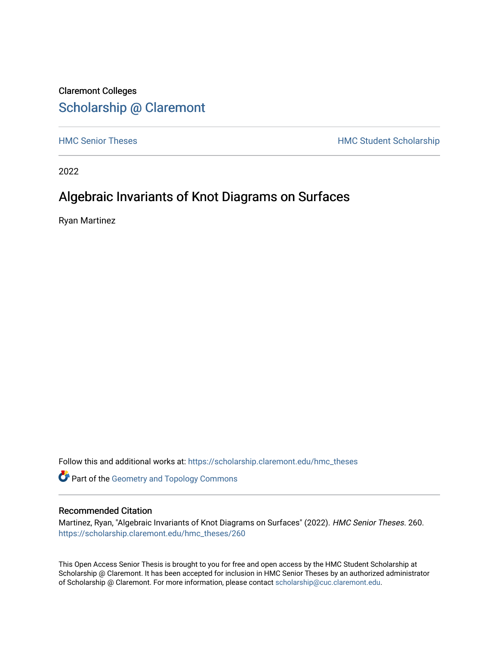### Claremont Colleges [Scholarship @ Claremont](https://scholarship.claremont.edu/)

[HMC Senior Theses](https://scholarship.claremont.edu/hmc_theses) **HMC Student Scholarship** 

2022

### Algebraic Invariants of Knot Diagrams on Surfaces

Ryan Martinez

Follow this and additional works at: [https://scholarship.claremont.edu/hmc\\_theses](https://scholarship.claremont.edu/hmc_theses?utm_source=scholarship.claremont.edu%2Fhmc_theses%2F260&utm_medium=PDF&utm_campaign=PDFCoverPages)

Part of the [Geometry and Topology Commons](https://network.bepress.com/hgg/discipline/180?utm_source=scholarship.claremont.edu%2Fhmc_theses%2F260&utm_medium=PDF&utm_campaign=PDFCoverPages) 

#### Recommended Citation

Martinez, Ryan, "Algebraic Invariants of Knot Diagrams on Surfaces" (2022). HMC Senior Theses. 260. [https://scholarship.claremont.edu/hmc\\_theses/260](https://scholarship.claremont.edu/hmc_theses/260?utm_source=scholarship.claremont.edu%2Fhmc_theses%2F260&utm_medium=PDF&utm_campaign=PDFCoverPages)

This Open Access Senior Thesis is brought to you for free and open access by the HMC Student Scholarship at Scholarship @ Claremont. It has been accepted for inclusion in HMC Senior Theses by an authorized administrator of Scholarship @ Claremont. For more information, please contact [scholarship@cuc.claremont.edu.](mailto:scholarship@cuc.claremont.edu)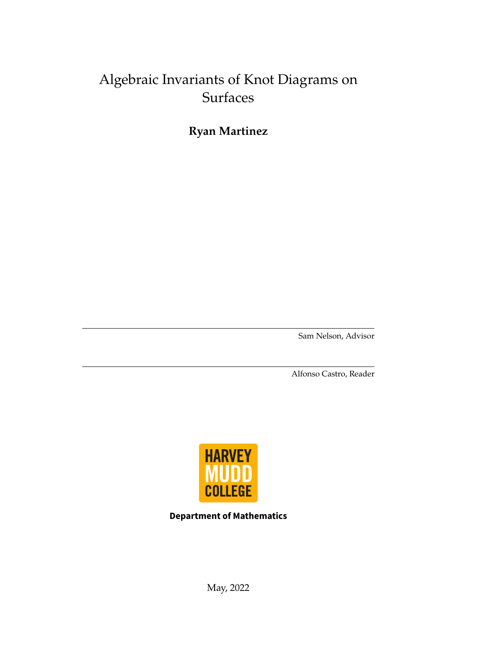### Algebraic Invariants of Knot Diagrams on Surfaces

**Ryan Martinez**

Sam Nelson, Advisor

Alfonso Castro, Reader



**Department of Mathematics**

May, 2022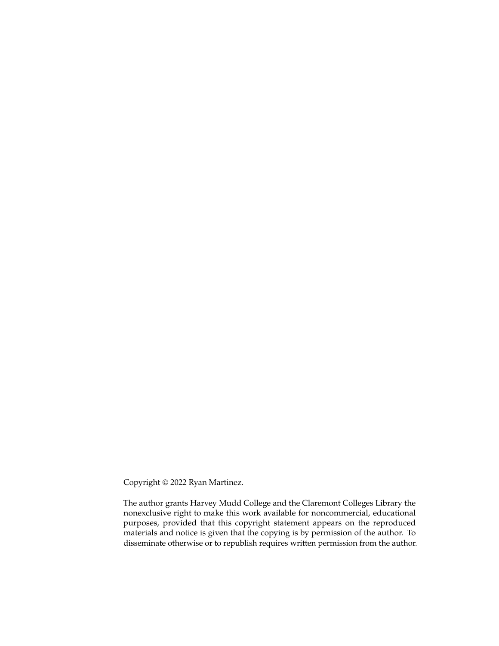Copyright © 2022 Ryan Martinez.

The author grants Harvey Mudd College and the Claremont Colleges Library the nonexclusive right to make this work available for noncommercial, educational purposes, provided that this copyright statement appears on the reproduced materials and notice is given that the copying is by permission of the author. To disseminate otherwise or to republish requires written permission from the author.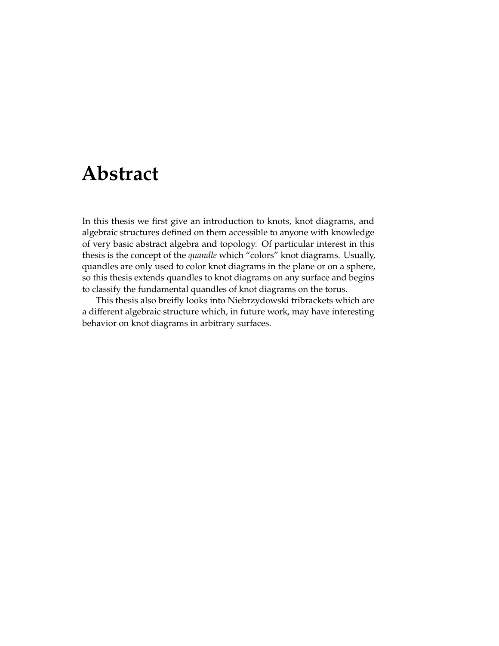## <span id="page-3-0"></span>**Abstract**

In this thesis we first give an introduction to knots, knot diagrams, and algebraic structures defined on them accessible to anyone with knowledge of very basic abstract algebra and topology. Of particular interest in this thesis is the concept of the *quandle* which "colors" knot diagrams. Usually, quandles are only used to color knot diagrams in the plane or on a sphere, so this thesis extends quandles to knot diagrams on any surface and begins to classify the fundamental quandles of knot diagrams on the torus.

This thesis also breifly looks into Niebrzydowski tribrackets which are a different algebraic structure which, in future work, may have interesting behavior on knot diagrams in arbitrary surfaces.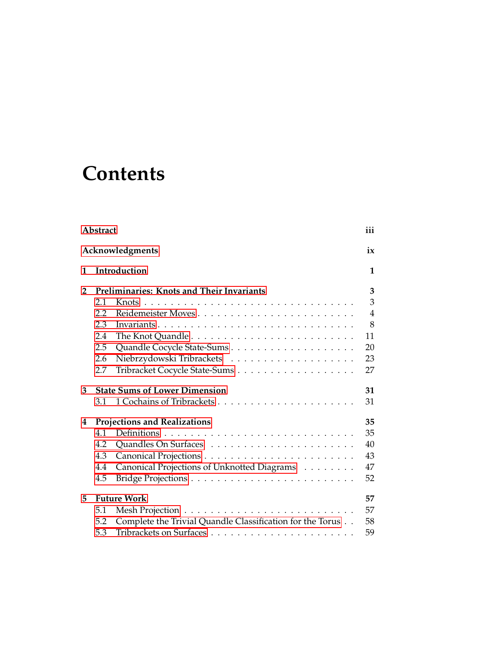## **Contents**

| Abstract        |                                     |                                                           |                |  |
|-----------------|-------------------------------------|-----------------------------------------------------------|----------------|--|
| Acknowledgments |                                     |                                                           |                |  |
| 1               |                                     | Introduction                                              | 1              |  |
| $\overline{2}$  |                                     | Preliminaries: Knots and Their Invariants                 | 3              |  |
|                 | 2.1                                 |                                                           | 3              |  |
|                 | 2.2                                 |                                                           | $\overline{4}$ |  |
|                 | 2.3                                 | Invariants                                                | 8              |  |
|                 | 2.4                                 |                                                           | 11             |  |
|                 | 2.5                                 |                                                           | 20             |  |
|                 | 2.6                                 |                                                           | 23             |  |
|                 | 2.7                                 |                                                           | 27             |  |
| 3               |                                     | <b>State Sums of Lower Dimension</b>                      | 31             |  |
|                 | 3.1                                 |                                                           | 31             |  |
| 4               | <b>Projections and Realizations</b> |                                                           | 35             |  |
|                 | 4.1                                 |                                                           | 35             |  |
|                 | 4.2                                 |                                                           | 40             |  |
|                 | 4.3                                 |                                                           | 43             |  |
|                 | 4.4                                 | Canonical Projections of Unknotted Diagrams               | 47             |  |
|                 | 4.5                                 |                                                           | 52             |  |
| 5               |                                     | <b>Future Work</b>                                        | 57             |  |
|                 | 5.1                                 |                                                           | 57             |  |
|                 | 5.2                                 | Complete the Trivial Quandle Classification for the Torus | 58             |  |
|                 | 5.3                                 |                                                           | 59             |  |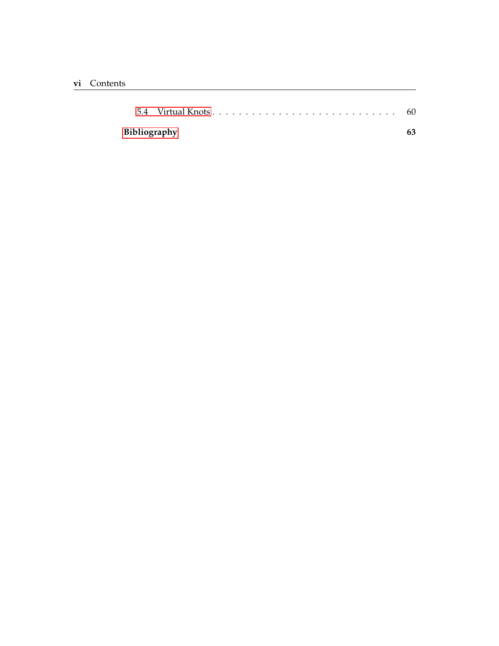| Bibliography |  |  |  |  |
|--------------|--|--|--|--|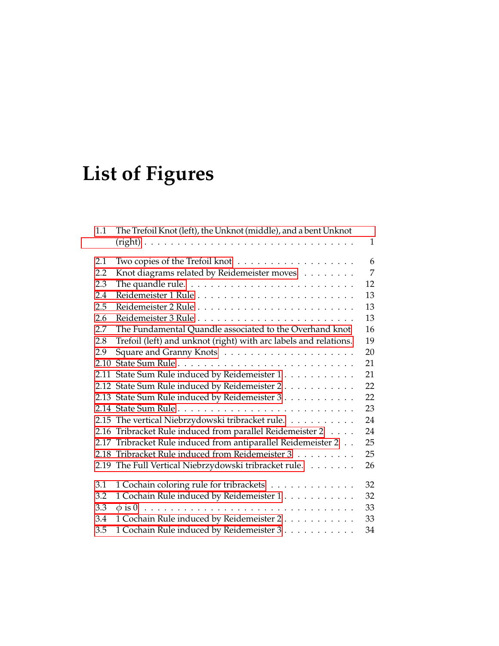# **List of Figures**

| 1.1  | The Trefoil Knot (left), the Unknot (middle), and a bent Unknot           |              |
|------|---------------------------------------------------------------------------|--------------|
|      |                                                                           | $\mathbf{1}$ |
| 2.1  | Two copies of the Trefoil knot $\dots \dots \dots \dots \dots \dots$      | 6            |
| 2.2  | Knot diagrams related by Reidemeister moves                               | 7            |
| 2.3  | The quandle rule. $\dots \dots \dots \dots \dots \dots \dots \dots \dots$ | 12           |
| 2.4  |                                                                           | 13           |
| 2.5  |                                                                           | 13           |
| 2.6  |                                                                           | 13           |
| 2.7  | The Fundamental Quandle associated to the Overhand knot                   | 16           |
| 2.8  | Trefoil (left) and unknot (right) with arc labels and relations.          | 19           |
| 2.9  |                                                                           | 20           |
| 2.10 |                                                                           | 21           |
|      | 2.11 State Sum Rule induced by Reidemeister 1                             | 21           |
|      | 2.12 State Sum Rule induced by Reidemeister 2                             | 22           |
|      | 2.13 State Sum Rule induced by Reidemeister 3.                            | 22           |
|      |                                                                           | 23           |
|      | 2.15 The vertical Niebrzydowski tribracket rule.                          | 24           |
|      | 2.16 Tribracket Rule induced from parallel Reidemeister 2                 | 24           |
|      | 2.17 Tribracket Rule induced from antiparallel Reidemeister 2             | 25           |
|      | 2.18 Tribracket Rule induced from Reidemeister 3                          | 25           |
|      | 2.19 The Full Vertical Niebrzydowski tribracket rule.                     | 26           |
| 3.1  | 1 Cochain coloring rule for tribrackets                                   | 32           |
| 3.2  | 1 Cochain Rule induced by Reidemeister 1                                  | 32           |
| 3.3  |                                                                           | 33           |
| 3.4  | 1 Cochain Rule induced by Reidemeister 2                                  | 33           |
| 3.5  | 1 Cochain Rule induced by Reidemeister 3                                  | 34           |
|      |                                                                           |              |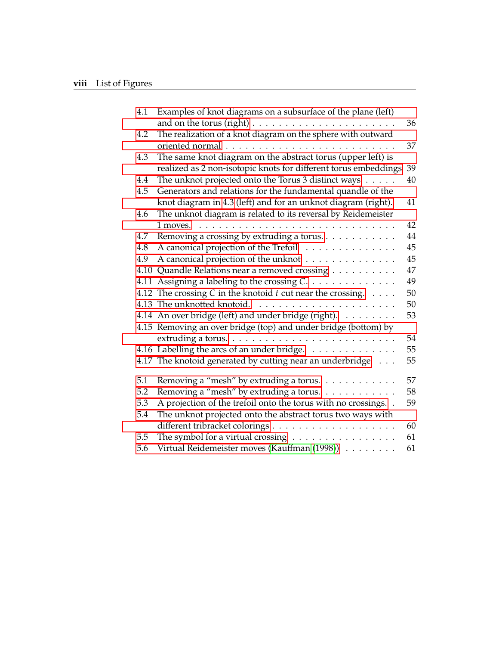| 4.1  | Examples of knot diagrams on a subsurface of the plane (left)<br>and on the torus (right) $\dots \dots \dots \dots \dots \dots \dots \dots$ | 36 |
|------|---------------------------------------------------------------------------------------------------------------------------------------------|----|
| 4.2  | The realization of a knot diagram on the sphere with outward                                                                                | 37 |
| 4.3  | The same knot diagram on the abstract torus (upper left) is                                                                                 |    |
|      | realized as 2 non-isotopic knots for different torus embeddings                                                                             | 39 |
| 4.4  | The unknot projected onto the Torus 3 distinct ways                                                                                         | 40 |
| 4.5  | Generators and relations for the fundamental quandle of the                                                                                 |    |
|      | knot diagram in 4.3 (left) and for an unknot diagram (right).                                                                               | 41 |
| 4.6  | The unknot diagram is related to its reversal by Reidemeister                                                                               |    |
|      | 1 moves.                                                                                                                                    | 42 |
| 4.7  | Removing a crossing by extruding a torus.                                                                                                   | 44 |
| 4.8  | A canonical projection of the Trefoil                                                                                                       | 45 |
| 4.9  | A canonical projection of the unknot                                                                                                        | 45 |
| 4.10 | Quandle Relations near a removed crossing                                                                                                   | 47 |
| 4.11 | Assigning a labeling to the crossing C.                                                                                                     | 49 |
|      | 4.12 The crossing $C$ in the knotoid $t$ cut near the crossing. $\ldots$ .                                                                  | 50 |
|      | 4.13 The unknotted knotoid.                                                                                                                 | 50 |
|      | 4.14 An over bridge (left) and under bridge (right).                                                                                        | 53 |
|      | 4.15 Removing an over bridge (top) and under bridge (bottom) by                                                                             |    |
|      |                                                                                                                                             | 54 |
|      | 4.16 Labelling the arcs of an under bridge.                                                                                                 | 55 |
|      | 4.17 The knotoid generated by cutting near an underbridge                                                                                   | 55 |
| 5.1  | Removing a "mesh" by extruding a torus.                                                                                                     | 57 |
| 5.2  | Removing a "mesh" by extruding a torus.                                                                                                     | 58 |
| 5.3  | A projection of the trefoil onto the torus with no crossings. .                                                                             | 59 |
| 5.4  | The unknot projected onto the abstract torus two ways with                                                                                  |    |
|      |                                                                                                                                             | 60 |
| 5.5  | The symbol for a virtual crossing $\dots \dots \dots \dots \dots$                                                                           | 61 |
| 5.6  | Virtual Reidemeister moves (Kauffman (1998))                                                                                                | 61 |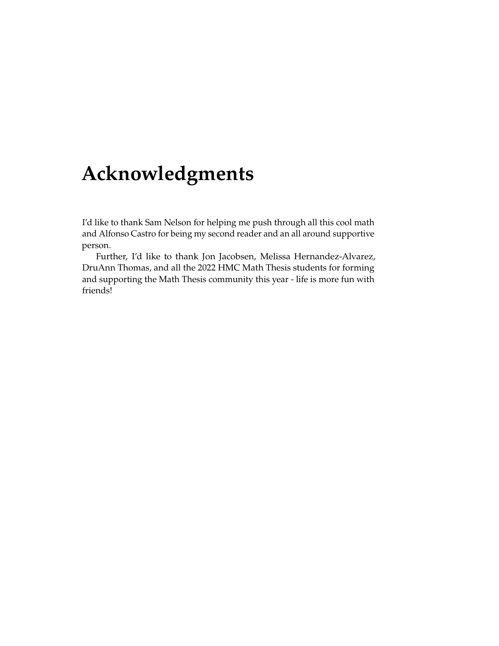## <span id="page-9-0"></span>**Acknowledgments**

I'd like to thank Sam Nelson for helping me push through all this cool math and Alfonso Castro for being my second reader and an all around supportive person.

Further, I'd like to thank Jon Jacobsen, Melissa Hernandez-Alvarez, DruAnn Thomas, and all the 2022 HMC Math Thesis students for forming and supporting the Math Thesis community this year - life is more fun with friends!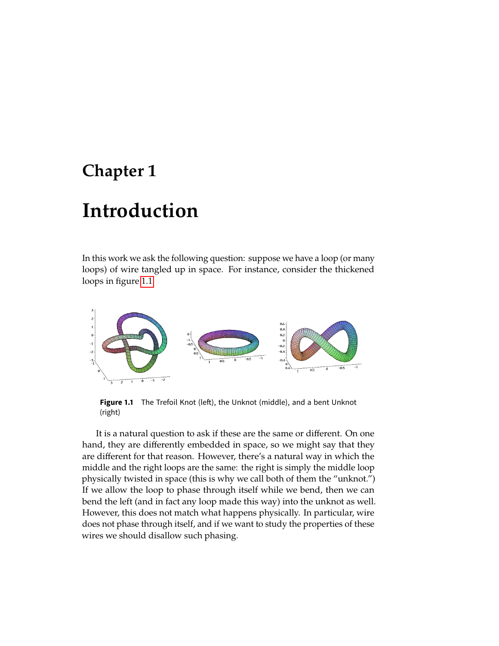### <span id="page-11-0"></span>**Chapter 1**

## **Introduction**

In this work we ask the following question: suppose we have a loop (or many loops) of wire tangled up in space. For instance, consider the thickened loops in figure [1.1.](#page-11-1)

<span id="page-11-1"></span>

**Figure 1.1** The Trefoil Knot (left), the Unknot (middle), and a bent Unknot (right)

It is a natural question to ask if these are the same or different. On one hand, they are differently embedded in space, so we might say that they are different for that reason. However, there's a natural way in which the middle and the right loops are the same: the right is simply the middle loop physically twisted in space (this is why we call both of them the "unknot.") If we allow the loop to phase through itself while we bend, then we can bend the left (and in fact any loop made this way) into the unknot as well. However, this does not match what happens physically. In particular, wire does not phase through itself, and if we want to study the properties of these wires we should disallow such phasing.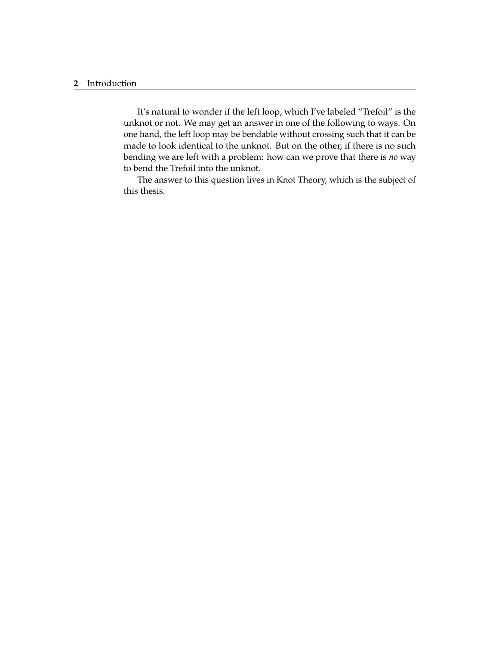#### **2** Introduction

It's natural to wonder if the left loop, which I've labeled "Trefoil" is the unknot or not. We may get an answer in one of the following to ways. On one hand, the left loop may be bendable without crossing such that it can be made to look identical to the unknot. But on the other, if there is no such bending we are left with a problem: how can we prove that there is *no* way to bend the Trefoil into the unknot.

The answer to this question lives in Knot Theory, which is the subject of this thesis.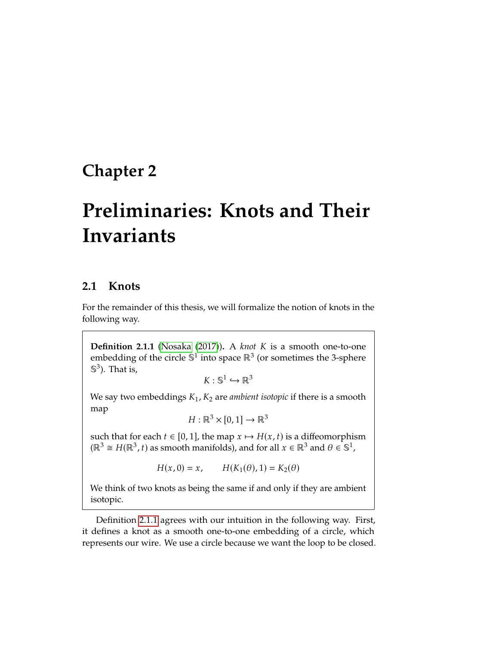### <span id="page-13-0"></span>**Chapter 2**

## **Preliminaries: Knots and Their Invariants**

#### <span id="page-13-1"></span>**2.1 Knots**

For the remainder of this thesis, we will formalize the notion of knots in the following way.

<span id="page-13-2"></span>**Definition 2.1.1** [\(Nosaka](#page-74-0) [\(2017\)](#page-74-0)). A *knot K* is a smooth one-to-one embedding of the circle  $\mathbb{S}^1$  into space  $\mathbb{R}^3$  (or sometimes the 3-sphere  $\mathbb{S}^3$ ). That is,

 $K: \mathbb{S}^1 \hookrightarrow \mathbb{R}^3$ 

We say two embeddings  $K_1$ ,  $K_2$  are *ambient isotopic* if there is a smooth map

 $H : \mathbb{R}^3 \times [0,1] \to \mathbb{R}^3$ 

such that for each  $t \in [0, 1]$ , the map  $x \mapsto H(x, t)$  is a diffeomorphism  $(\mathbb{R}^3 \cong H(\mathbb{R}^3, t)$  as smooth manifolds), and for all  $x \in \mathbb{R}^3$  and  $\theta \in \mathbb{S}^1$ ,

 $H(x, 0) = x$ ,  $H(K_1(\theta), 1) = K_2(\theta)$ 

We think of two knots as being the same if and only if they are ambient isotopic.

Definition [2.1.1](#page-13-2) agrees with our intuition in the following way. First, it defines a knot as a smooth one-to-one embedding of a circle, which represents our wire. We use a circle because we want the loop to be closed.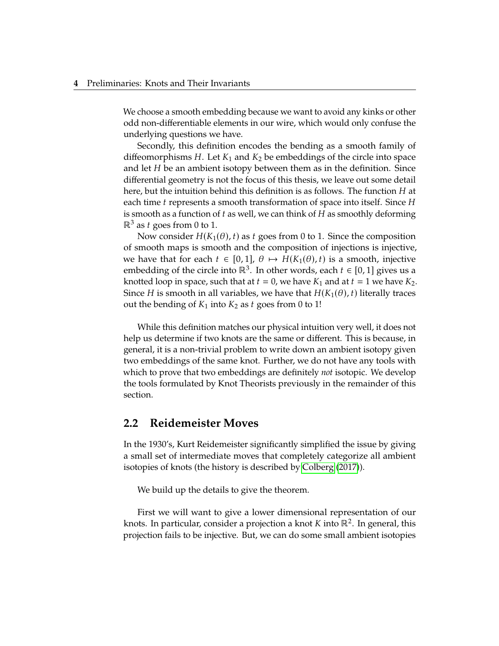We choose a smooth embedding because we want to avoid any kinks or other odd non-differentiable elements in our wire, which would only confuse the underlying questions we have.

Secondly, this definition encodes the bending as a smooth family of diffeomorphisms  $H$ . Let  $K_1$  and  $K_2$  be embeddings of the circle into space and let  $H$  be an ambient isotopy between them as in the definition. Since differential geometry is not the focus of this thesis, we leave out some detail here, but the intuition behind this definition is as follows. The function  $H$  at each time  $t$  represents a smooth transformation of space into itself. Since  $H$ is smooth as a function of  $t$  as well, we can think of  $H$  as smoothly deforming  $\mathbb{R}^3$  as t goes from 0 to 1.

Now consider  $H(K_1(\theta), t)$  as t goes from 0 to 1. Since the composition of smooth maps is smooth and the composition of injections is injective, we have that for each  $t \in [0, 1]$ ,  $\theta \mapsto H(K_1(\theta), t)$  is a smooth, injective embedding of the circle into ℝ<sup>3</sup>. In other words, each  $t \in [0, 1]$  gives us a knotted loop in space, such that at  $t = 0$ , we have  $K_2$  and at  $t = 1$  we have  $K_3$ knotted loop in space, such that at  $t = 0$ , we have  $K_1$  and at  $t = 1$  we have  $K_2$ . Since *H* is smooth in all variables, we have that  $H(K_1(\theta), t)$  literally traces out the bending of  $K_1$  into  $K_2$  as  $t$  goes from 0 to 1!

While this definition matches our physical intuition very well, it does not help us determine if two knots are the same or different. This is because, in general, it is a non-trivial problem to write down an ambient isotopy given two embeddings of the same knot. Further, we do not have any tools with which to prove that two embeddings are definitely *not* isotopic. We develop the tools formulated by Knot Theorists previously in the remainder of this section.

#### <span id="page-14-0"></span>**2.2 Reidemeister Moves**

In the 1930's, Kurt Reidemeister significantly simplified the issue by giving a small set of intermediate moves that completely categorize all ambient isotopies of knots (the history is described by [Colberg](#page-73-2) [\(2017\)](#page-73-2)).

We build up the details to give the theorem.

First we will want to give a lower dimensional representation of our knots. In particular, consider a projection a knot K into  $\mathbb{R}^2$ . In general, this<br>projection fails to be injective. But, we can do some small ambient isotopies projection fails to be injective. But, we can do some small ambient isotopies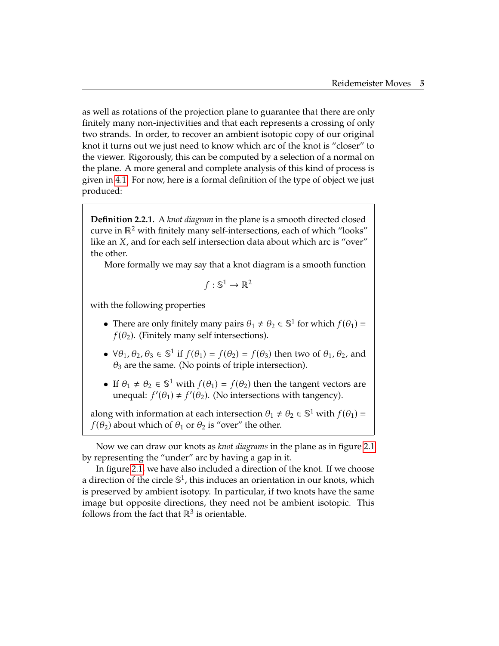as well as rotations of the projection plane to guarantee that there are only finitely many non-injectivities and that each represents a crossing of only two strands. In order, to recover an ambient isotopic copy of our original knot it turns out we just need to know which arc of the knot is "closer" to the viewer. Rigorously, this can be computed by a selection of a normal on the plane. A more general and complete analysis of this kind of process is given in [4.1.](#page-45-1) For now, here is a formal definition of the type of object we just produced:

**Definition 2.2.1.** A *knot diagram* in the plane is a smooth directed closed curve in  $\mathbb{R}^2$  with finitely many self-intersections, each of which "looks" like an  $X$ , and for each self intersection data about which arc is "over" the other.

More formally we may say that a knot diagram is a smooth function

$$
f: \mathbb{S}^1 \to \mathbb{R}^2
$$

with the following properties

- There are only finitely many pairs  $\theta_1 \neq \theta_2 \in \mathbb{S}^1$  for which  $f(\theta_1) = f(\theta_1)$ . (Einitely many celf intercostions)  $f(\theta_2)$ . (Finitely many self intersections).
- $\forall \theta_1, \theta_2, \theta_3 \in \mathbb{S}^1$  if  $f(\theta_1) = f(\theta_2) = f(\theta_3)$  then two of  $\theta_1, \theta_2$ , and  $\theta_3$  are the same. (No points of triple intersection)  $\theta_3$  are the same. (No points of triple intersection).
- If  $\theta_1 \neq \theta_2 \in \mathbb{S}^1$  with  $f(\theta_1) = f(\theta_2)$  then the tangent vectors are unoqual:  $f'(\theta_1) \neq f'(\theta_2)$  (No intersections with tangency) unequal:  $f'(\theta_1) \neq f'(\theta_2)$ . (No intersections with tangency).

along with information at each intersection  $\theta_1 \neq \theta_2 \in \mathbb{S}^1$  with  $f(\theta_1) = f(\theta_1)$  about which of  $\theta_1$  or  $\theta_2$  is "over" the other  $f(\theta_2)$  about which of  $\theta_1$  or  $\theta_2$  is "over" the other.

Now we can draw our knots as *knot diagrams* in the plane as in figure [2.1](#page-16-0) by representing the "under" arc by having a gap in it.

In figure [2.1,](#page-16-0) we have also included a direction of the knot. If we choose a direction of the circle  $\mathbb{S}^1$ , this induces an orientation in our knots, which is preserved by ambient isotopy. In particular, if two knots have the same image but opposite directions, they need not be ambient isotopic. This follows from the fact that  $\mathbb{R}^3$  is orientable.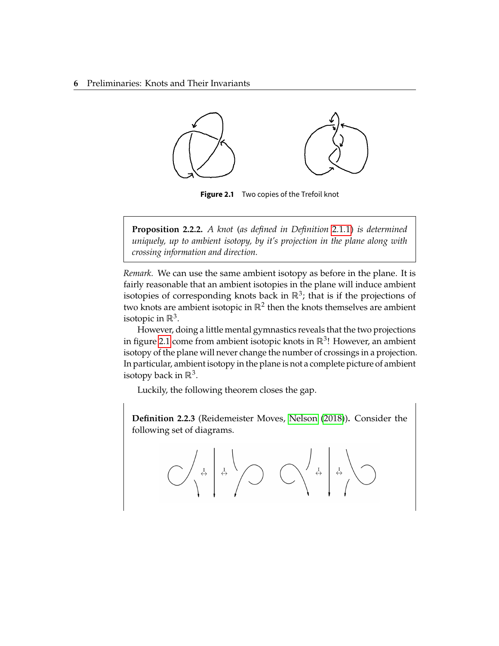#### **6** Preliminaries: Knots and Their Invariants

<span id="page-16-0"></span>

**Figure 2.1** Two copies of the Trefoil knot

**Proposition 2.2.2.** *A knot (as defined in Definition [2.1.1\)](#page-13-2) is determined uniquely, up to ambient isotopy, by it's projection in the plane along with crossing information and direction.*

*Remark.* We can use the same ambient isotopy as before in the plane. It is fairly reasonable that an ambient isotopies in the plane will induce ambient isotopies of corresponding knots back in  $\mathbb{R}^3$ ; that is if the projections of two knots are ambient isotopic in  $\mathbb{R}^2$  then the knots themselves are ambient isotopic in  $\mathbb{R}^3$ .

However, doing a little mental gymnastics reveals that the two projections in figure [2.1](#page-16-0) come from ambient isotopic knots in  $\mathbb{R}^3$ ! However, an ambient isotopy of the plane will never change the number of crossings in a projection. In particular, ambient isotopy in the plane is not a complete picture of ambient isotopy back in  $\mathbb{R}^3$ .

Luckily, the following theorem closes the gap.

**Definition 2.2.3** (Reidemeister Moves, [Nelson](#page-73-3) [\(2018\)](#page-73-3))**.** Consider the following set of diagrams.

$$
\text{C} \left(\begin{array}{c} \frac{1}{4} \\ \frac{1}{4} \\ \frac{1}{4} \end{array} \right) \text{C} \left(\begin{array}{c} \frac{1}{4} \\ \frac{1}{4} \\ \frac{1}{4} \end{array} \right) \text{C}
$$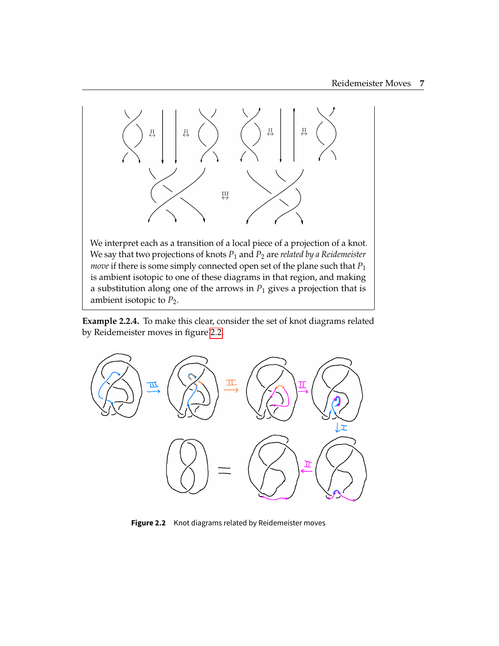

We interpret each as a transition of a local piece of a projection of a knot. We say that two projections of knots  $P_1$  and  $P_2$  are *related by a Reidemeister move* if there is some simply connected open set of the plane such that  $P_1$ is ambient isotopic to one of these diagrams in that region, and making a substitution along one of the arrows in  $P_1$  gives a projection that is ambient isotopic to  $P_2$ .

**Example 2.2.4.** To make this clear, consider the set of knot diagrams related by Reidemeister moves in figure [2.2.](#page-17-0)

<span id="page-17-0"></span>

Figure 2.2 Knot diagrams related by Reidemeister moves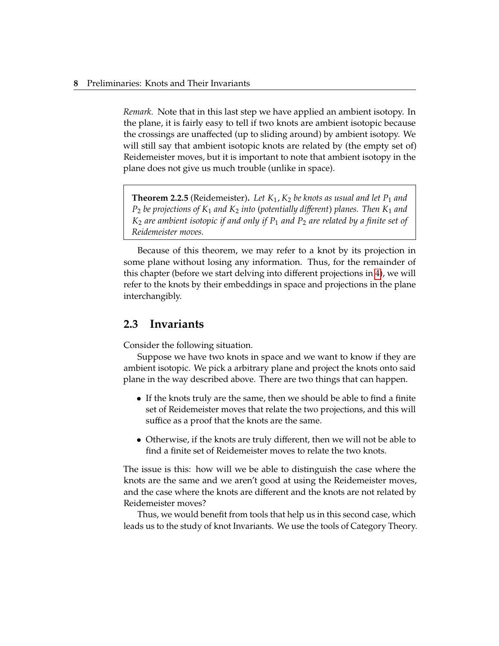*Remark.* Note that in this last step we have applied an ambient isotopy. In the plane, it is fairly easy to tell if two knots are ambient isotopic because the crossings are unaffected (up to sliding around) by ambient isotopy. We will still say that ambient isotopic knots are related by (the empty set of) Reidemeister moves, but it is important to note that ambient isotopy in the plane does not give us much trouble (unlike in space).

<span id="page-18-1"></span>**Theorem 2.2.5** (Reidemeister). Let  $K_1$ ,  $K_2$  be knots as usual and let  $P_1$  and  $P_2$  *be projections of*  $K_1$  *and*  $K_2$  *into (potentially different) planes. Then*  $K_1$  *and*  $K_2$  *are ambient isotopic if and only if*  $P_1$  *and*  $P_2$  *are related by a finite set of Reidemeister moves.*

Because of this theorem, we may refer to a knot by its projection in some plane without losing any information. Thus, for the remainder of this chapter (before we start delving into different projections in [4\)](#page-45-0), we will refer to the knots by their embeddings in space and projections in the plane interchangibly.

#### <span id="page-18-0"></span>**2.3 Invariants**

Consider the following situation.

Suppose we have two knots in space and we want to know if they are ambient isotopic. We pick a arbitrary plane and project the knots onto said plane in the way described above. There are two things that can happen.

- If the knots truly are the same, then we should be able to find a finite set of Reidemeister moves that relate the two projections, and this will suffice as a proof that the knots are the same.
- Otherwise, if the knots are truly different, then we will not be able to find a finite set of Reidemeister moves to relate the two knots.

The issue is this: how will we be able to distinguish the case where the knots are the same and we aren't good at using the Reidemeister moves, and the case where the knots are different and the knots are not related by Reidemeister moves?

Thus, we would benefit from tools that help us in this second case, which leads us to the study of knot Invariants. We use the tools of Category Theory.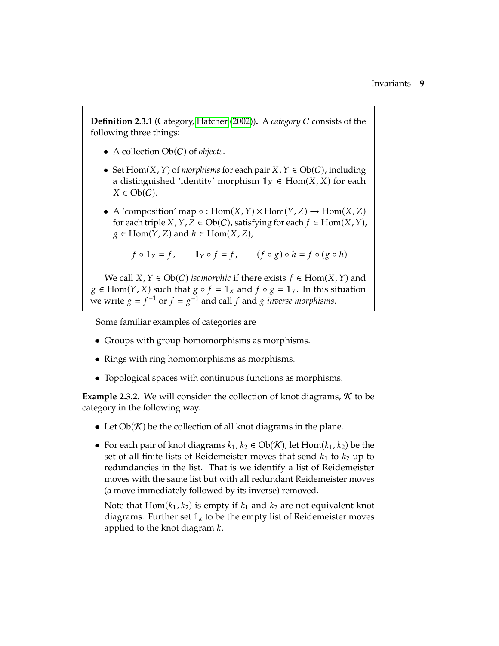**Definition 2.3.1** (Category, [Hatcher](#page-73-4) [\(2002\)](#page-73-4)). A *category* C consists of the following three things:

- A collection  $Ob(C)$  of *objects*.
- Set  $Hom(X, Y)$  of *morphisms* for each pair  $X, Y \in Ob(C)$ , including a distinguished 'identity' morphism  $1_X \in \text{Hom}(X, X)$  for each  $X \in Ob(C)$ .
- A 'composition' map  $\circ : Hom(X, Y) \times Hom(Y, Z) \rightarrow Hom(X, Z)$ for each triple  $X$ ,  $Y$ ,  $Z \in Ob(C)$ , satisfying for each  $f \in Hom(X, Y)$ ,  $g \in \text{Hom}(Y, Z)$  and  $h \in \text{Hom}(X, Z)$ ,

$$
f \circ \mathbb{1}_X = f
$$
,  $\mathbb{1}_Y \circ f = f$ ,  $(f \circ g) \circ h = f \circ (g \circ h)$ 

We call  $X, Y \in Ob(C)$  *isomorphic* if there exists  $f \in Hom(X, Y)$  and  $g \in Hom(Y, X)$  such that  $g \circ f = \mathbb{1}_X$  and  $f \circ g = \mathbb{1}_Y$ . In this situation we write  $g = f^{-1}$  or  $f = g^{-1}$  and call  $f$  and  $g$  *inverse morphisms*.

Some familiar examples of categories are

- Groups with group homomorphisms as morphisms.
- Rings with ring homomorphisms as morphisms.
- Topological spaces with continuous functions as morphisms.

**Example 2.3.2.** We will consider the collection of knot diagrams,  $K$  to be category in the following way.

- Let  $Ob(K)$  be the collection of all knot diagrams in the plane.
- For each pair of knot diagrams  $k_1, k_2 \in Ob(K)$ , let  $Hom(k_1, k_2)$  be the set of all finite lists of Reidemeister moves that send  $k_1$  to  $k_2$  up to redundancies in the list. That is we identify a list of Reidemeister moves with the same list but with all redundant Reidemeister moves (a move immediately followed by its inverse) removed.

Note that  $Hom(k_1, k_2)$  is empty if  $k_1$  and  $k_2$  are not equivalent knot diagrams. Further set  $\mathbb{I}_k$  to be the empty list of Reidemeister moves applied to the knot diagram  $k$ .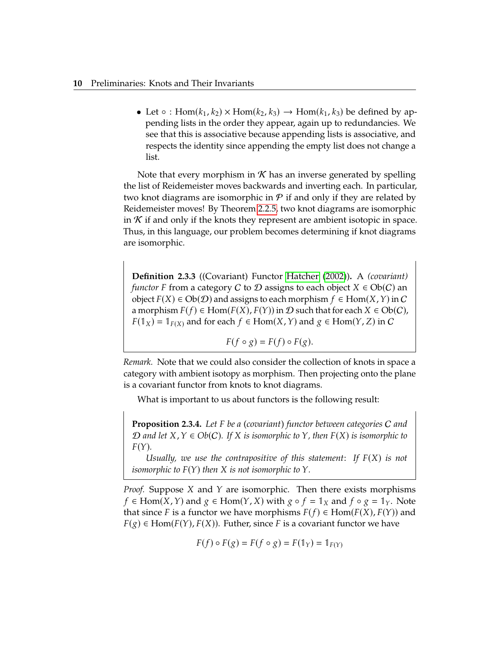• Let  $\circ$  : Hom( $k_1, k_2$ )  $\times$  Hom( $k_2, k_3$ )  $\rightarrow$  Hom( $k_1, k_3$ ) be defined by appending lists in the order they appear, again up to redundancies. We see that this is associative because appending lists is associative, and respects the identity since appending the empty list does not change a list.

Note that every morphism in  $K$  has an inverse generated by spelling the list of Reidemeister moves backwards and inverting each. In particular, two knot diagrams are isomorphic in  $P$  if and only if they are related by Reidemeister moves! By Theorem [2.2.5,](#page-18-1) two knot diagrams are isomorphic in  $K$  if and only if the knots they represent are ambient isotopic in space. Thus, in this language, our problem becomes determining if knot diagrams are isomorphic.

**Definition 2.3.3** ((Covariant) Functor [Hatcher](#page-73-4) [\(2002\)](#page-73-4))**.** A *(covariant) functor* F from a category C to D assigns to each object  $X \in Ob(C)$  an object  $F(X) \in Ob(\mathcal{D})$  and assigns to each morphism  $f \in Hom(X, Y)$  in C a morphism  $F(f) \in \text{Hom}(F(X), F(Y))$  in  $\mathcal D$  such that for each  $X \in \text{Ob}(C)$ ,  $F(1_X) = 1_{F(X)}$  and for each  $f \in Hom(X, Y)$  and  $g \in Hom(Y, Z)$  in  $C$ 

$$
F(f \circ g) = F(f) \circ F(g).
$$

*Remark.* Note that we could also consider the collection of knots in space a category with ambient isotopy as morphism. Then projecting onto the plane is a covariant functor from knots to knot diagrams.

What is important to us about functors is the following result:

**Proposition 2.3.4.** Let F be a (covariant) functor between categories C and  $\n *D*$  *and let*  $X, Y \in Ob(C)$ *. If*  $X$  *is isomorphic to*  $Y$ *, then*  $F(X)$  *is isomorphic to*  $F(Y)$ .

*Usually, we use the contrapositive of this statement: If* 𝐹(𝑋) *is not isomorphic to*  $F(Y)$  *then*  $X$  *is not isomorphic to*  $Y$ *.* 

*Proof.* Suppose  $X$  and  $Y$  are isomorphic. Then there exists morphisms  $f \in \text{Hom}(X, Y)$  and  $g \in \text{Hom}(Y, X)$  with  $g \circ f = \mathbb{1}_X$  and  $f \circ g = \mathbb{1}_Y$ . Note that since F is a functor we have morphisms  $F(f) \in Hom(F(X), F(Y))$  and  $F(g) \in \text{Hom}(F(Y), F(X))$ . Futher, since F is a covariant functor we have

$$
F(f) \circ F(g) = F(f \circ g) = F(\mathbb{1}_Y) = \mathbb{1}_{F(Y)}
$$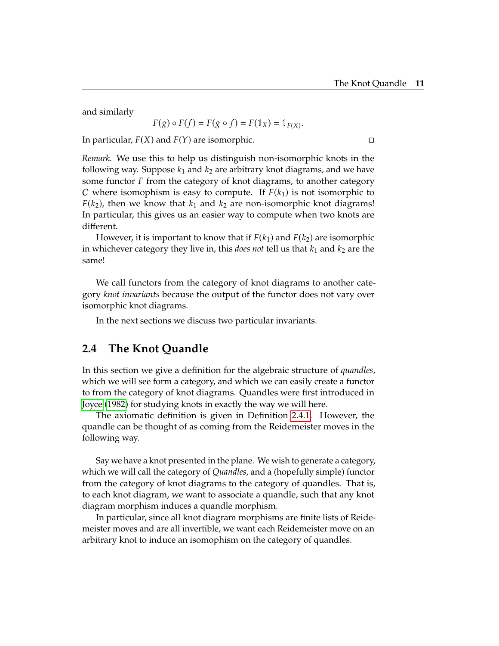and similarly

$$
F(g) \circ F(f) = F(g \circ f) = F(\mathbb{1}_X) = \mathbb{1}_{F(X)}.
$$

In particular,  $F(X)$  and  $F(Y)$  are isomorphic.

*Remark.* We use this to help us distinguish non-isomorphic knots in the following way. Suppose  $k_1$  and  $k_2$  are arbitrary knot diagrams, and we have some functor  $F$  from the category of knot diagrams, to another category C where isomophism is easy to compute. If  $F(k_1)$  is not isomorphic to  $F(k_2)$ , then we know that  $k_1$  and  $k_2$  are non-isomorphic knot diagrams! In particular, this gives us an easier way to compute when two knots are different.

However, it is important to know that if  $F(k_1)$  and  $F(k_2)$  are isomorphic in whichever category they live in, this *does not* tell us that  $k_1$  and  $k_2$  are the same!

We call functors from the category of knot diagrams to another category *knot invariants* because the output of the functor does not vary over isomorphic knot diagrams.

In the next sections we discuss two particular invariants.

#### <span id="page-21-0"></span>**2.4 The Knot Quandle**

In this section we give a definition for the algebraic structure of *quandles*, which we will see form a category, and which we can easily create a functor to from the category of knot diagrams. Quandles were first introduced in [Joyce](#page-73-5) [\(1982\)](#page-73-5) for studying knots in exactly the way we will here.

The axiomatic definition is given in Definition [2.4.1.](#page-24-0) However, the quandle can be thought of as coming from the Reidemeister moves in the following way.

Say we have a knot presented in the plane. We wish to generate a category, which we will call the category of *Quandles*, and a (hopefully simple) functor from the category of knot diagrams to the category of quandles. That is, to each knot diagram, we want to associate a quandle, such that any knot diagram morphism induces a quandle morphism.

In particular, since all knot diagram morphisms are finite lists of Reidemeister moves and are all invertible, we want each Reidemeister move on an arbitrary knot to induce an isomophism on the category of quandles.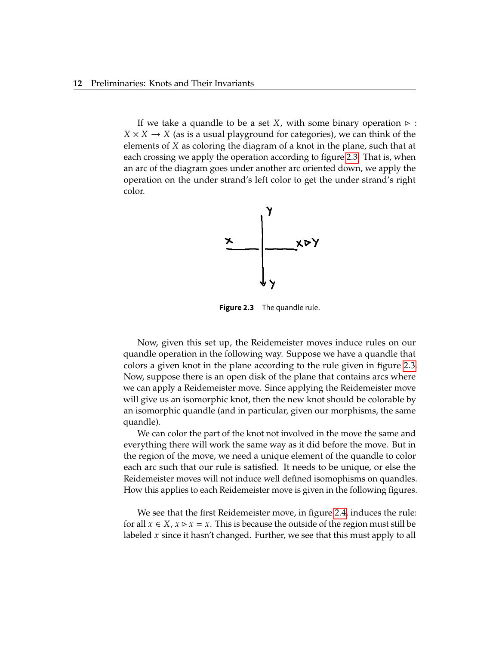<span id="page-22-0"></span>If we take a quandle to be a set X, with some binary operation  $\triangleright$  :  $X \times X \rightarrow X$  (as is a usual playground for categories), we can think of the elements of  $X$  as coloring the diagram of a knot in the plane, such that at each crossing we apply the operation according to figure [2.3.](#page-22-0) That is, when an arc of the diagram goes under another arc oriented down, we apply the operation on the under strand's left color to get the under strand's right color.



**Figure 2.3** The quandle rule.

Now, given this set up, the Reidemeister moves induce rules on our quandle operation in the following way. Suppose we have a quandle that colors a given knot in the plane according to the rule given in figure [2.3.](#page-22-0) Now, suppose there is an open disk of the plane that contains arcs where we can apply a Reidemeister move. Since applying the Reidemeister move will give us an isomorphic knot, then the new knot should be colorable by an isomorphic quandle (and in particular, given our morphisms, the same quandle).

We can color the part of the knot not involved in the move the same and everything there will work the same way as it did before the move. But in the region of the move, we need a unique element of the quandle to color each arc such that our rule is satisfied. It needs to be unique, or else the Reidemeister moves will not induce well defined isomophisms on quandles. How this applies to each Reidemeister move is given in the following figures.

We see that the first Reidemeister move, in figure [2.4,](#page-23-0) induces the rule: for all  $x \in X$ ,  $x \triangleright x = x$ . This is because the outside of the region must still be labeled  $x$  since it hasn't changed. Further, we see that this must apply to all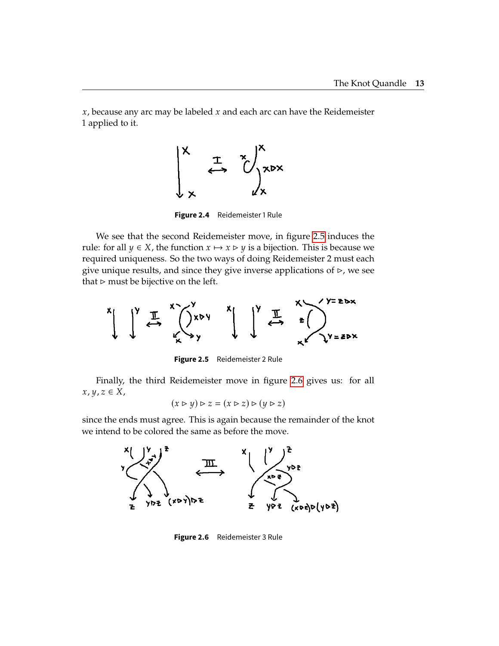<span id="page-23-0"></span> $x$ , because any arc may be labeled  $x$  and each arc can have the Reidemeister 1 applied to it.



**Figure 2.4** Reidemeister 1 Rule

We see that the second Reidemeister move, in figure [2.5](#page-23-1) induces the rule: for all  $y \in X$ , the function  $x \mapsto x \triangleright y$  is a bijection. This is because we required uniqueness. So the two ways of doing Reidemeister 2 must each give unique results, and since they give inverse applications of  $\triangleright$ , we see that  $\triangleright$  must be bijective on the left.

<span id="page-23-1"></span>

**Figure 2.5** Reidemeister 2 Rule

Finally, the third Reidemeister move in figure [2.6](#page-23-2) gives us: for all  $x, y, z \in X$ ,

$$
(x \triangleright y) \triangleright z = (x \triangleright z) \triangleright (y \triangleright z)
$$

<span id="page-23-2"></span>since the ends must agree. This is again because the remainder of the knot we intend to be colored the same as before the move.



**Figure 2.6** Reidemeister 3 Rule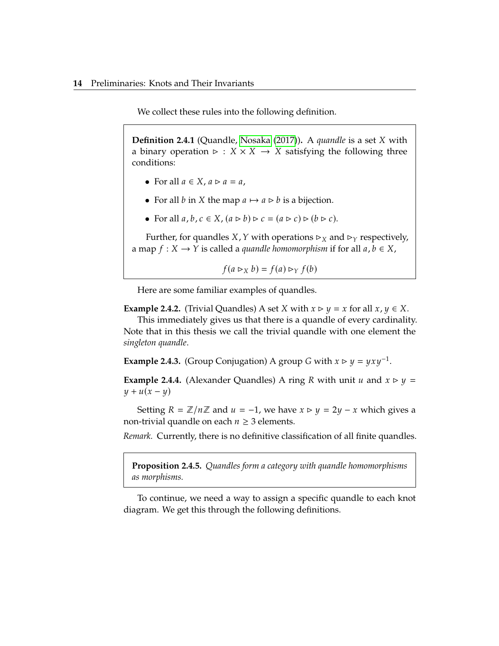We collect these rules into the following definition.

<span id="page-24-0"></span>**Definition 2.4.1** (Quandle, [Nosaka](#page-74-0) [\(2017\)](#page-74-0)). A *quandle* is a set *X* with a binary operation  $\triangleright$  :  $X \times X \rightarrow X$  satisfying the following three conditions:

- For all  $a \in X$ ,  $a \triangleright a = a$ ,
- For all *b* in *X* the map  $a \mapsto a \triangleright b$  is a bijection.
- For all  $a, b, c \in X$ ,  $(a \triangleright b) \triangleright c = (a \triangleright c) \triangleright (b \triangleright c)$ .

Further, for quandles *X*, *Y* with operations  $\triangleright_X$  and  $\triangleright_Y$  respectively, a map  $f: X \to Y$  is called a *quandle homomorphism* if for all  $a, b \in X$ ,

$$
f(a \rhd_X b) = f(a) \rhd_Y f(b)
$$

Here are some familiar examples of quandles.

**Example 2.4.2.** (Trivial Quandles) A set *X* with  $x \triangleright y = x$  for all  $x, y \in X$ .

This immediately gives us that there is a quandle of every cardinality. Note that in this thesis we call the trivial quandle with one element the *singleton quandle*.

**Example 2.4.3.** (Group Conjugation) A group *G* with  $x \triangleright y = yxy^{-1}$ .

**Example 2.4.4.** (Alexander Quandles) A ring R with unit  $u$  and  $x \triangleright y =$  $y + u(x - y)$ 

Setting  $R = \mathbb{Z}/n\mathbb{Z}$  and  $u = -1$ , we have  $x \triangleright y = 2y - x$  which gives a non-trivial quandle on each  $n \geq 3$  elements.

*Remark.* Currently, there is no definitive classification of all finite quandles.

**Proposition 2.4.5.** *Quandles form a category with quandle homomorphisms as morphisms.*

To continue, we need a way to assign a specific quandle to each knot diagram. We get this through the following definitions.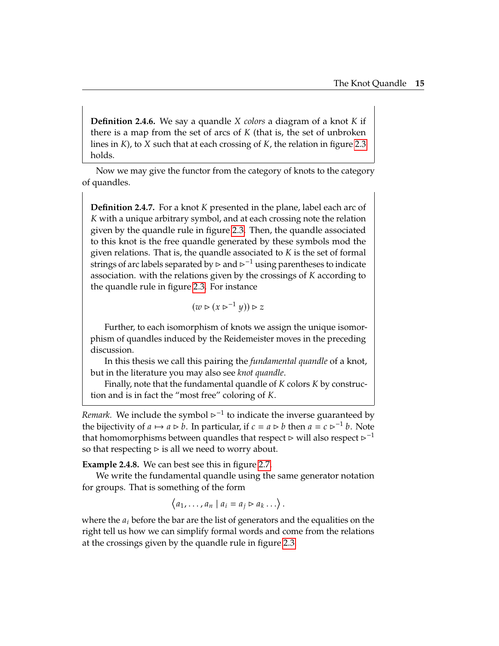**Definition 2.4.6.** We say a quandle *X colors* a diagram of a knot *K* if there is a map from the set of arcs of  $K$  (that is, the set of unbroken lines in  $K$ ), to  $X$  such that at each crossing of  $K$ , the relation in figure [2.3](#page-22-0) holds.

Now we may give the functor from the category of knots to the category of quandles.

<span id="page-25-0"></span>**Definition 2.4.7.** For a knot K presented in the plane, label each arc of K with a unique arbitrary symbol, and at each crossing note the relation given by the quandle rule in figure [2.3.](#page-22-0) Then, the quandle associated to this knot is the free quandle generated by these symbols mod the given relations. That is, the quandle associated to  $K$  is the set of formal strings of arc labels separated by  $\triangleright$  and  $\triangleright^{-1}$  using parentheses to indicate association. with the relations given by the crossings of  $K$  according to the quandle rule in figure [2.3.](#page-22-0) For instance

$$
(w \triangleright (x \triangleright^{-1} y)) \triangleright z
$$

Further, to each isomorphism of knots we assign the unique isomorphism of quandles induced by the Reidemeister moves in the preceding discussion.

In this thesis we call this pairing the *fundamental quandle* of a knot, but in the literature you may also see *knot quandle*.

Finally, note that the fundamental quandle of  $K$  colors  $K$  by construction and is in fact the "most free" coloring of K.

*Remark.* We include the symbol  $\triangleright^{-1}$  to indicate the inverse guaranteed by the bijectivity of  $a \mapsto a \triangleright b$ . In particular, if  $c = a \triangleright b$  then  $a = c \triangleright^{-1} b$ . Note that homomorphisms between quandles that respect  $\triangleright$  will also respect  $\triangleright^{-1}$ so that respecting  $\triangleright$  is all we need to worry about.

**Example 2.4.8.** We can best see this in figure [2.7.](#page-26-0)

We write the fundamental quandle using the same generator notation for groups. That is something of the form

$$
\langle a_1,\ldots,a_n \mid a_i = a_j \rhd a_k \ldots \rangle
$$

where the  $a_i$  before the bar are the list of generators and the equalities on the right tell us how we can simplify formal words and come from the relations at the crossings given by the quandle rule in figure [2.3.](#page-22-0)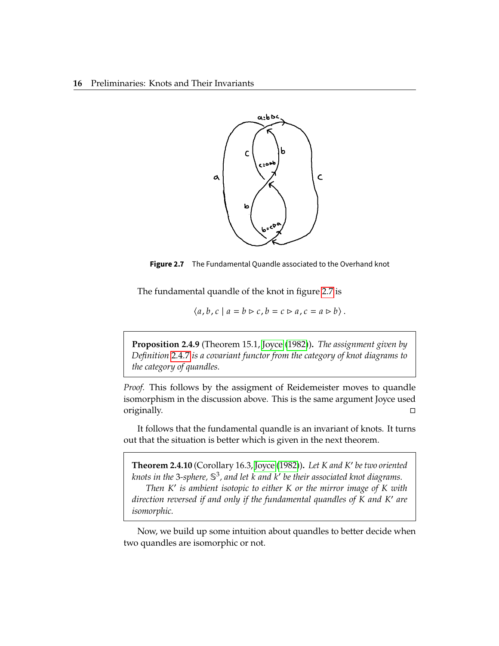<span id="page-26-0"></span>

**Figure 2.7** The Fundamental Quandle associated to the Overhand knot

The fundamental quandle of the knot in figure [2.7](#page-26-0) is

$$
\langle a,b,c \mid a=b \rhd c, b=c \rhd a, c=a \rhd b \rangle.
$$

**Proposition 2.4.9** (Theorem 15.1, [Joyce](#page-73-5) [\(1982\)](#page-73-5))**.** *The assignment given by Definition [2.4.7](#page-25-0) is a covariant functor from the category of knot diagrams to the category of quandles.*

*Proof.* This follows by the assigment of Reidemeister moves to quandle isomorphism in the discussion above. This is the same argument Joyce used originally.

It follows that the fundamental quandle is an invariant of knots. It turns out that the situation is better which is given in the next theorem.

**Theorem 2.4.10** (Corollary 16.3, [Joyce](#page-73-5) [\(1982\)](#page-73-5)). Let *K* and *K'* be two oriented knot in the 3 culture  $\mathbb{S}^3$  and let *k* and *k'* be their associated knot discrepancy  $k$ nots in the 3-sphere,  $\mathbb{S}^3$ , and let  $k$  and  $k'$  be their associated knot diagrams.<br>Then  $K'$  is ambient isotopic to either  $K$  ar the mirror image of  $K$  with *Then K*' is ambient isotopic to either *K* or the mirror image of *K* with the mirror image of *K* with *direction reversed if and only if the fundamental quandles of* K and K' are<br>isomornhis *isomorphic.*

Now, we build up some intuition about quandles to better decide when two quandles are isomorphic or not.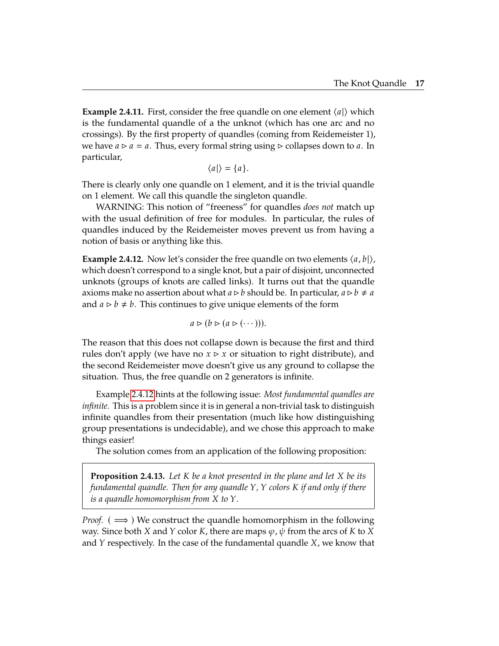**Example 2.4.11.** First, consider the free quandle on one element  $\langle a | \rangle$  which is the fundamental quandle of a the unknot (which has one arc and no crossings). By the first property of quandles (coming from Reidemeister 1), we have  $a \triangleright a = a$ . Thus, every formal string using  $\triangleright$  collapses down to a. In particular,

$$
\langle a|\rangle = \{a\}.
$$

There is clearly only one quandle on 1 element, and it is the trivial quandle on 1 element. We call this quandle the singleton quandle.

WARNING: This notion of "freeness" for quandles *does not* match up with the usual definition of free for modules. In particular, the rules of quandles induced by the Reidemeister moves prevent us from having a notion of basis or anything like this.

<span id="page-27-0"></span>**Example 2.4.12.** Now let's consider the free quandle on two elements  $\langle a, b \rangle$ , which doesn't correspond to a single knot, but a pair of disjoint, unconnected unknots (groups of knots are called links). It turns out that the quandle axioms make no assertion about what  $a \triangleright b$  should be. In particular,  $a \triangleright b \neq a$ and  $a \triangleright b \neq b$ . This continues to give unique elements of the form

$$
a \triangleright (b \triangleright (a \triangleright (\cdots))).
$$

The reason that this does not collapse down is because the first and third rules don't apply (we have no  $x \triangleright x$  or situation to right distribute), and the second Reidemeister move doesn't give us any ground to collapse the situation. Thus, the free quandle on 2 generators is infinite.

Example [2.4.12](#page-27-0) hints at the following issue: *Most fundamental quandles are infinite.* This is a problem since it is in general a non-trivial task to distinguish infinite quandles from their presentation (much like how distinguishing group presentations is undecidable), and we chose this approach to make things easier!

The solution comes from an application of the following proposition:

**Proposition 2.4.13.** Let *K* be a knot presented in the plane and let *X* be its *fundamental quandle. Then for any quandle Y, Y colors K if and only if there is a quandle homomorphism from*  $X$  *to*  $Y$ *.* 

*Proof.* ( $\implies$ ) We construct the quandle homomorphism in the following way. Since both X and Y color K, there are maps  $\varphi$ ,  $\psi$  from the arcs of K to X and  $Y$  respectively. In the case of the fundamental quandle  $X$ , we know that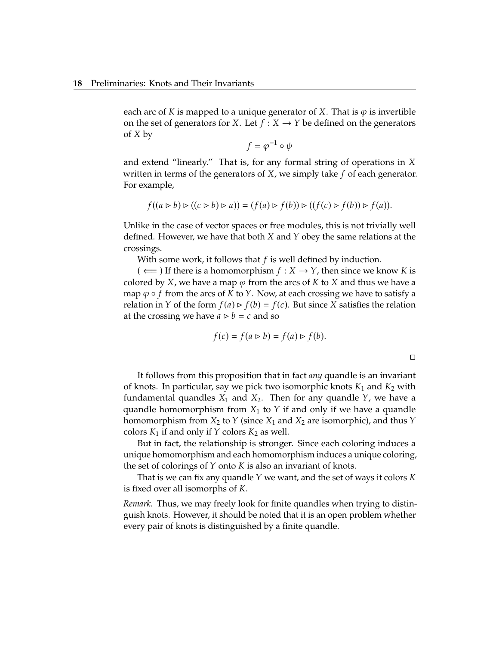each arc of K is mapped to a unique generator of X. That is  $\varphi$  is invertible on the set of generators for X. Let  $f : X \to Y$  be defined on the generators  $of X by$ 

$$
f = \varphi^{-1} \circ \psi
$$

and extend "linearly." That is, for any formal string of operations in  $X$ written in terms of the generators of  $X$ , we simply take  $f$  of each generator. For example,

$$
f((a \triangleright b) \triangleright ((c \triangleright b) \triangleright a)) = (f(a) \triangleright f(b)) \triangleright ((f(c) \triangleright f(b)) \triangleright f(a)).
$$

Unlike in the case of vector spaces or free modules, this is not trivially well defined. However, we have that both  $X$  and  $Y$  obey the same relations at the crossings.

With some work, it follows that  $f$  is well defined by induction.

 $($   $\Leftarrow$  ) If there is a homomorphism  $f: X \rightarrow Y$ , then since we know K is colored by  $X$ , we have a map  $\varphi$  from the arcs of  $K$  to  $X$  and thus we have a map  $\varphi \circ f$  from the arcs of K to Y. Now, at each crossing we have to satisfy a relation in *Y* of the form  $f(a) \triangleright f(b) = f(c)$ . But since *X* satisfies the relation at the crossing we have  $a \triangleright b = c$  and so

$$
f(c) = f(a \triangleright b) = f(a) \triangleright f(b).
$$

 $\Box$ 

It follows from this proposition that in fact *any* quandle is an invariant of knots. In particular, say we pick two isomorphic knots  $K_1$  and  $K_2$  with fundamental quandles  $X_1$  and  $X_2$ . Then for any quandle  $Y$ , we have a quandle homomorphism from  $X_1$  to  $Y$  if and only if we have a quandle homomorphism from  $X_2$  to  $Y$  (since  $X_1$  and  $X_2$  are isomorphic), and thus  $Y$ colors  $K_1$  if and only if  $Y$  colors  $K_2$  as well.

But in fact, the relationship is stronger. Since each coloring induces a unique homomorphism and each homomorphism induces a unique coloring, the set of colorings of  $Y$  onto  $K$  is also an invariant of knots.

That is we can fix any quandle  $Y$  we want, and the set of ways it colors  $K$ is fixed over all isomorphs of  $K$ .

*Remark.* Thus, we may freely look for finite quandles when trying to distinguish knots. However, it should be noted that it is an open problem whether every pair of knots is distinguished by a finite quandle.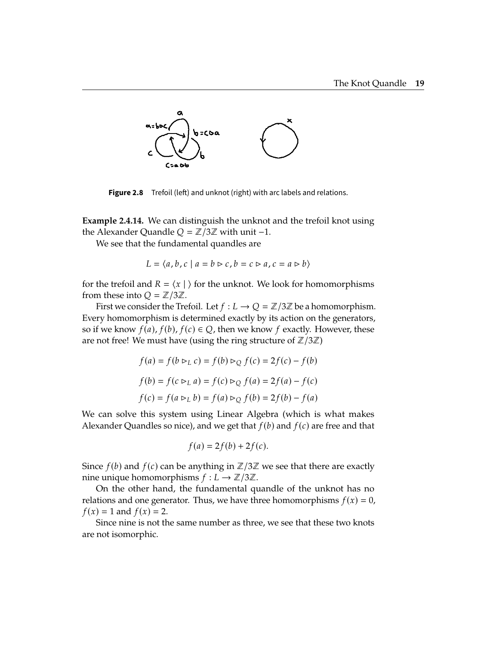<span id="page-29-0"></span>

**Figure 2.8** Trefoil (left) and unknot (right) with arc labels and relations.

<span id="page-29-1"></span>**Example 2.4.14.** We can distinguish the unknot and the trefoil knot using the Alexander Quandle  $Q = \mathbb{Z}/3\mathbb{Z}$  with unit -1.

We see that the fundamental quandles are

$$
L = \langle a, b, c \mid a = b \rhd c, b = c \rhd a, c = a \rhd b \rangle
$$

for the trefoil and  $R = \langle x | \rangle$  for the unknot. We look for homomorphisms from these into  $Q = \mathbb{Z}/3\mathbb{Z}$ .

First we consider the Trefoil. Let  $f: L \to Q = \mathbb{Z}/3\mathbb{Z}$  be a homomorphism. Every homomorphism is determined exactly by its action on the generators, so if we know  $f(a)$ ,  $f(b)$ ,  $f(c) \in Q$ , then we know  $f$  exactly. However, these are not free! We must have (using the ring structure of  $\mathbb{Z}/3\mathbb{Z}$ )

$$
f(a) = f(b \rhd_L c) = f(b) \rhd_Q f(c) = 2f(c) - f(b)
$$
  

$$
f(b) = f(c \rhd_L a) = f(c) \rhd_Q f(a) = 2f(a) - f(c)
$$
  

$$
f(c) = f(a \rhd_L b) = f(a) \rhd_Q f(b) = 2f(b) - f(a)
$$

We can solve this system using Linear Algebra (which is what makes Alexander Quandles so nice), and we get that  $f(b)$  and  $f(c)$  are free and that

$$
f(a) = 2f(b) + 2f(c).
$$

Since  $f(b)$  and  $f(c)$  can be anything in  $\mathbb{Z}/3\mathbb{Z}$  we see that there are exactly nine unique homomorphisms  $f: L \to \mathbb{Z}/3\mathbb{Z}$ .

On the other hand, the fundamental quandle of the unknot has no relations and one generator. Thus, we have three homomorphisms  $f(x) = 0$ ,  $f(x) = 1$  and  $f(x) = 2$ .

Since nine is not the same number as three, we see that these two knots are not isomorphic.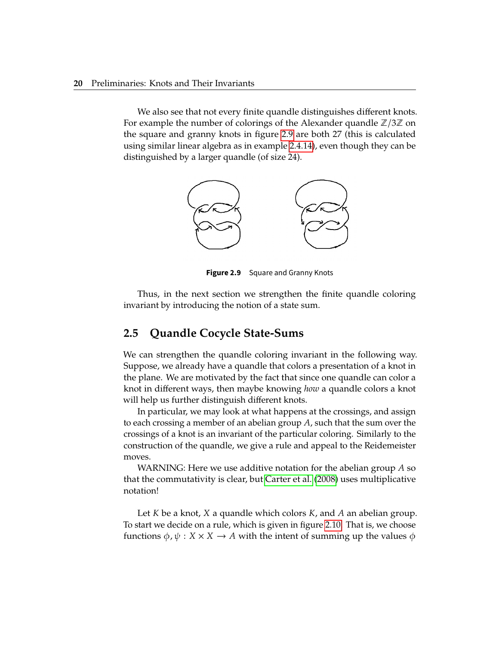We also see that not every finite quandle distinguishes different knots. For example the number of colorings of the Alexander quandle  $\mathbb{Z}/3\mathbb{Z}$  on the square and granny knots in figure [2.9](#page-30-1) are both 27 (this is calculated using similar linear algebra as in example [2.4.14\)](#page-29-1), even though they can be distinguished by a larger quandle (of size 24).

<span id="page-30-1"></span>

**Figure 2.9** Square and Granny Knots

Thus, in the next section we strengthen the finite quandle coloring invariant by introducing the notion of a state sum.

#### <span id="page-30-0"></span>**2.5 Quandle Cocycle State-Sums**

We can strengthen the quandle coloring invariant in the following way. Suppose, we already have a quandle that colors a presentation of a knot in the plane. We are motivated by the fact that since one quandle can color a knot in different ways, then maybe knowing *how* a quandle colors a knot will help us further distinguish different knots.

In particular, we may look at what happens at the crossings, and assign to each crossing a member of an abelian group  $A$ , such that the sum over the crossings of a knot is an invariant of the particular coloring. Similarly to the construction of the quandle, we give a rule and appeal to the Reidemeister moves.

WARNING: Here we use additive notation for the abelian group  $A$  so that the commutativity is clear, but [Carter et al.](#page-73-6) [\(2008\)](#page-73-6) uses multiplicative notation!

Let  $K$  be a knot,  $X$  a quandle which colors  $K$ , and  $A$  an abelian group. To start we decide on a rule, which is given in figure [2.10.](#page-31-0) That is, we choose functions  $\phi$ ,  $\psi$  :  $X \times X \rightarrow A$  with the intent of summing up the values  $\phi$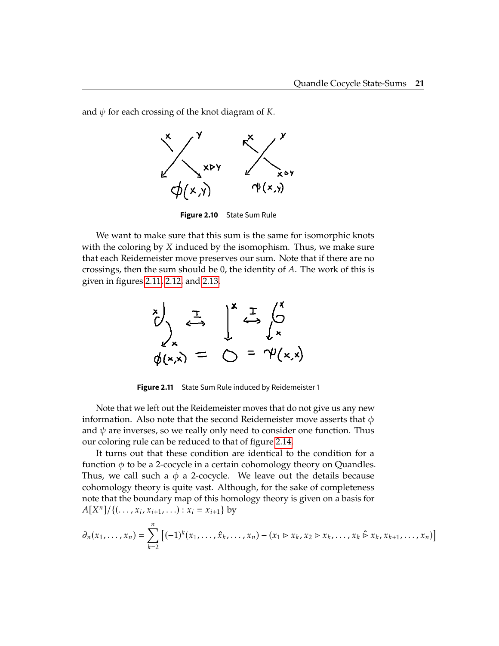<span id="page-31-0"></span>and  $\psi$  for each crossing of the knot diagram of K.



**Figure 2.10** State Sum Rule

<span id="page-31-1"></span>We want to make sure that this sum is the same for isomorphic knots with the coloring by  $X$  induced by the isomophism. Thus, we make sure that each Reidemeister move preserves our sum. Note that if there are no crossings, then the sum should be 0, the identity of  $A$ . The work of this is given in figures [2.11,](#page-31-1) [2.12,](#page-32-0) and [2.13.](#page-32-1)

$$
\sum_{k=x}^{x} \sum_{y}^{x} \sum_{y}^{y} \sum_{z}^{y} \sum_{y}^{y} \sum_{y}^{y} \sum_{y}^{y} \sum_{y}^{y} \sum_{y}^{y} \sum_{y}^{y} \sum_{y}^{y} \sum_{y}^{y} \sum_{y}^{y} \sum_{y}^{y} \sum_{y}^{y} \sum_{y}^{y} \sum_{y}^{y} \sum_{y}^{y} \sum_{y}^{y} \sum_{y}^{y} \sum_{y}^{y} \sum_{y}^{y} \sum_{y}^{y} \sum_{y}^{y} \sum_{y}^{y} \sum_{y}^{y} \sum_{y}^{y} \sum_{y}^{y} \sum_{y}^{y} \sum_{y}^{y} \sum_{y}^{y} \sum_{y}^{y} \sum_{y}^{y} \sum_{y}^{y} \sum_{y}^{y} \sum_{y}^{y} \sum_{y}^{y} \sum_{y}^{y} \sum_{y}^{y} \sum_{y}^{y} \sum_{y}^{y} \sum_{y}^{y} \sum_{y}^{y} \sum_{y}^{y} \sum_{y}^{y} \sum_{y}^{y} \sum_{y}^{y} \sum_{y}^{y} \sum_{y}^{y} \sum_{y}^{y} \sum_{y}^{y} \sum_{y}^{y} \sum_{y}^{y} \sum_{y}^{y} \sum_{y}^{y} \sum_{y}^{y} \sum_{y}^{y} \sum_{y}^{y} \sum_{y}^{y} \sum_{y}^{y} \sum_{y}^{y} \sum_{y}^{y} \sum_{y}^{y} \sum_{y}^{y} \sum_{y}^{y} \sum_{y}^{y} \sum_{y}^{y} \sum_{y}^{y} \sum_{y}^{y} \sum_{y}^{y} \sum_{y}^{y} \sum_{y}^{y} \sum_{y}^{y} \sum_{y}^{y} \sum_{y}^{y} \sum_{y}^{y} \sum_{y}^{y} \sum_{y}^{y} \sum_{y}^{y} \sum_{y}^{y} \sum_{y}^{y} \sum_{y}^{y} \sum_{y}^{y} \sum_{y}^{y} \sum_{y}^{y} \sum_{y}^{y} \sum_{y}^{y} \sum_{y}^{y} \sum_{y}^{y} \sum_{y}^{y} \sum_{y}^{y} \sum_{y}^{y} \sum_{y}^{y} \sum_{y}^{y} \sum_{y}^{y
$$

**Figure 2.11** State Sum Rule induced by Reidemeister 1

Note that we left out the Reidemeister moves that do not give us any new information. Also note that the second Reidemeister move asserts that  $\phi$ and  $\psi$  are inverses, so we really only need to consider one function. Thus our coloring rule can be reduced to that of figure [2.14.](#page-33-1)

It turns out that these condition are identical to the condition for a function  $\phi$  to be a 2-cocycle in a certain cohomology theory on Quandles. Thus, we call such a  $\phi$  a 2-cocycle. We leave out the details because cohomology theory is quite vast. Although, for the sake of completeness note that the boundary map of this homology theory is given on a basis for  $A[X^n]/\{(\ldots, x_i, x_{i+1}, \ldots) : x_i = x_{i+1}\}$  by

$$
\partial_n(x_1, \ldots, x_n) = \sum_{k=2}^n \left[ (-1)^k (x_1, \ldots, \hat{x}_k, \ldots, x_n) - (x_1 \triangleright x_k, x_2 \triangleright x_k, \ldots, x_k \triangleright x_k, x_{k+1}, \ldots, x_n) \right]
$$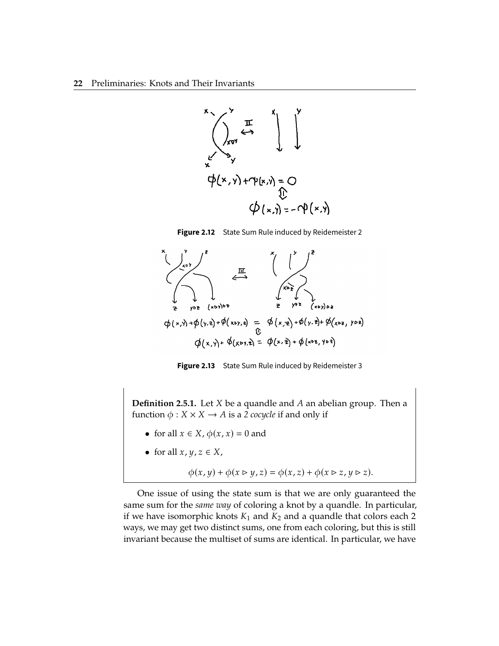<span id="page-32-0"></span>

**Figure 2.12** State Sum Rule induced by Reidemeister 2

<span id="page-32-1"></span>

**Figure 2.13** State Sum Rule induced by Reidemeister 3

**Definition 2.5.1.** Let  $X$  be a quandle and  $A$  an abelian group. Then a function  $\phi$  :  $X \times X \rightarrow A$  is a 2 *cocycle* if and only if

- for all  $x \in X$ ,  $\phi(x, x) = 0$  and
- for all  $x, y, z \in X$ ,

$$
\phi(x,y) + \phi(x \triangleright y, z) = \phi(x,z) + \phi(x \triangleright z, y \triangleright z).
$$

One issue of using the state sum is that we are only guaranteed the same sum for the *same way* of coloring a knot by a quandle. In particular, if we have isomorphic knots  $K_1$  and  $K_2$  and a quandle that colors each 2 ways, we may get two distinct sums, one from each coloring, but this is still invariant because the multiset of sums are identical. In particular, we have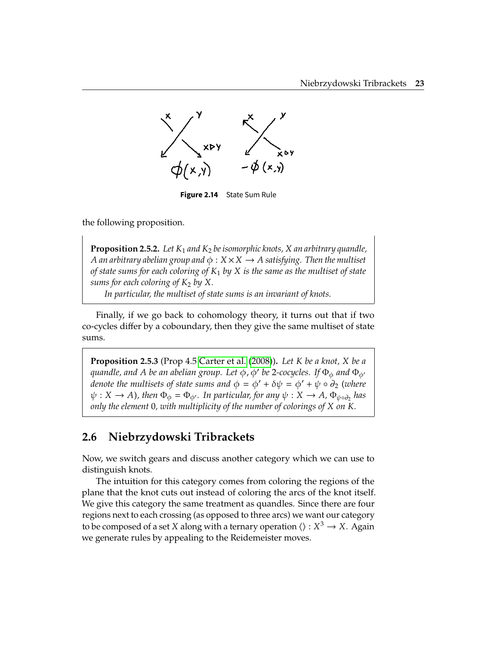<span id="page-33-1"></span>

**Figure 2.14** State Sum Rule

the following proposition.

**Proposition 2.5.2.** Let  $K_1$  and  $K_2$  be isomorphic knots, X an arbitrary quandle, A an arbitrary abelian group and  $\phi : X \times X \rightarrow A$  satisfying. Then the multiset *of state sums for each coloring of*  $K_1$  *by*  $X$  *is the same as the multiset of state sums for each coloring of*  $K_2$  *by*  $X$ *.* 

*In particular, the multiset of state sums is an invariant of knots.*

Finally, if we go back to cohomology theory, it turns out that if two co-cycles differ by a coboundary, then they give the same multiset of state sums.

**Proposition 2.5.3** (Prop 4.5 [Carter et al.](#page-73-6) [\(2008\)](#page-73-6)). Let *K* be a knot, *X* be a *quandle, and A be an abelian group. Let*  $\phi$ ,  $\phi'$  *be 2-cocycles. If*  $\Phi_{\phi}$  *and*  $\Phi_{\phi'}$  *denote the multicate of state sums and*  $\phi = \phi' + \delta \psi = \phi' + \psi$  and  $\phi$  (where *denote the multisets of state sums and*  $\phi = \phi' + \delta \psi = \phi' + \psi \circ \partial_2$  (where  $\psi: X \to A$ ), then  $\Phi_{\phi} = \Phi_{\phi'}$ . In particular, for any  $\psi: X \to A$ ,  $\Phi_{\psi \circ \partial_2}$  has *only the element 0, with multiplicity of the number of colorings of*  $X$  *on*  $K$ *.* 

#### <span id="page-33-0"></span>**2.6 Niebrzydowski Tribrackets**

Now, we switch gears and discuss another category which we can use to distinguish knots.

The intuition for this category comes from coloring the regions of the plane that the knot cuts out instead of coloring the arcs of the knot itself. We give this category the same treatment as quandles. Since there are four regions next to each crossing (as opposed to three arcs) we want our category to be composed of a set *X* along with a ternary operation  $\langle \rangle : X^3 \to X$ . Again we generate rules by appealing to the Reidemeister moves.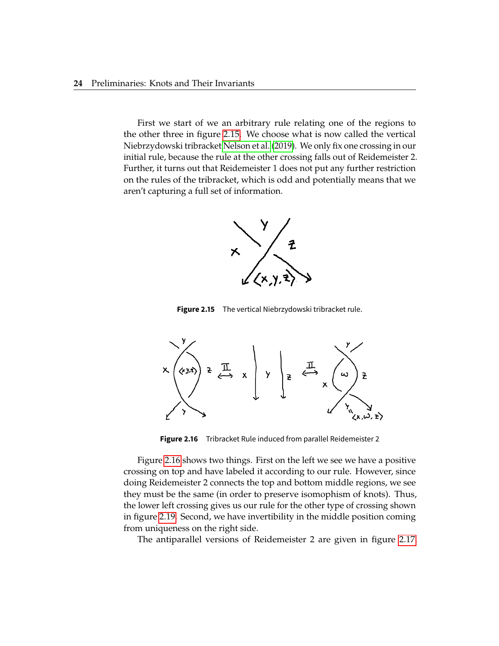<span id="page-34-0"></span>First we start of we an arbitrary rule relating one of the regions to the other three in figure [2.15.](#page-34-0) We choose what is now called the vertical Niebrzydowski tribracket [Nelson et al.](#page-74-1) [\(2019\)](#page-74-1). We only fix one crossing in our initial rule, because the rule at the other crossing falls out of Reidemeister 2. Further, it turns out that Reidemeister 1 does not put any further restriction on the rules of the tribracket, which is odd and potentially means that we aren't capturing a full set of information.



**Figure 2.15** The vertical Niebrzydowski tribracket rule.

<span id="page-34-1"></span>

**Figure 2.16** Tribracket Rule induced from parallel Reidemeister 2

Figure [2.16](#page-34-1) shows two things. First on the left we see we have a positive crossing on top and have labeled it according to our rule. However, since doing Reidemeister 2 connects the top and bottom middle regions, we see they must be the same (in order to preserve isomophism of knots). Thus, the lower left crossing gives us our rule for the other type of crossing shown in figure [2.19.](#page-36-0) Second, we have invertibility in the middle position coming from uniqueness on the right side.

The antiparallel versions of Reidemeister 2 are given in figure [2.17.](#page-35-0)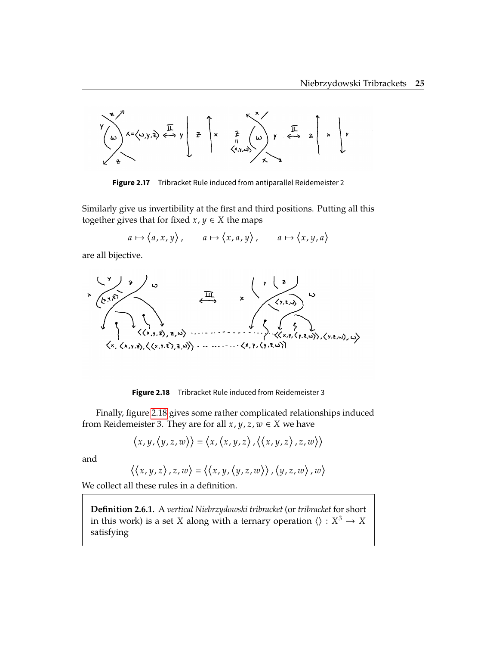<span id="page-35-0"></span>

**Figure 2.17** Tribracket Rule induced from antiparallel Reidemeister 2

Similarly give us invertibility at the first and third positions. Putting all this together gives that for fixed  $x, y \in X$  the maps

 $a \mapsto \langle a, x, y \rangle$ ,  $a \mapsto \langle x, a, y \rangle$ ,  $a \mapsto \langle x, y, a \rangle$ 

<span id="page-35-1"></span>are all bijective.



**Figure 2.18** Tribracket Rule induced from Reidemeister 3

Finally, figure [2.18](#page-35-1) gives some rather complicated relationships induced from Reidemeister 3. They are for all  $x, y, z, w \in X$  we have

$$
\langle x,y,\langle y,z,w\rangle\rangle=\langle x,\langle x,y,z\rangle,\langle \langle x,y,z\rangle,z,w\rangle\rangle
$$

and

$$
\langle \langle x,y,z\rangle,z,w\rangle=\langle \langle x,y,\langle y,z,w\rangle\rangle,\langle y,z,w\rangle,w\rangle
$$

We collect all these rules in a definition.

**Definition 2.6.1.** A *vertical Niebrzydowski tribracket* (or *tribracket* for short in this work) is a set *X* along with a ternary operation  $\langle \rangle : X^3 \to X$ satisfying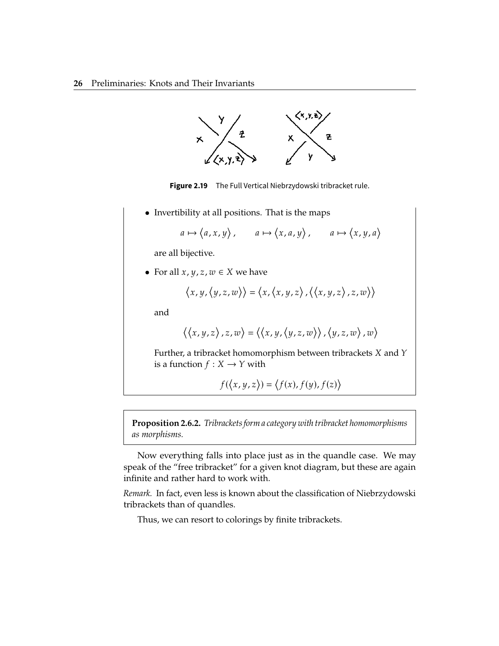

**Figure 2.19** The Full Vertical Niebrzydowski tribracket rule.

• Invertibility at all positions. That is the maps

$$
a \mapsto \langle a, x, y \rangle
$$
,  $a \mapsto \langle x, a, y \rangle$ ,  $a \mapsto \langle x, y, a \rangle$ 

are all bijective.

• For all  $x, y, z, w \in X$  we have

$$
\langle x,y,\langle y,z,w\rangle\rangle=\langle x,\langle x,y,z\rangle,\langle \langle x,y,z\rangle,z,w\rangle\rangle
$$

and

$$
\langle \langle x, y, z \rangle, z, w \rangle = \langle \langle x, y, \langle y, z, w \rangle \rangle, \langle y, z, w \rangle, w \rangle
$$

Further, a tribracket homomorphism between tribrackets  $X$  and  $Y$ is a function  $f : X \to Y$  with

$$
f(\langle x,y,z\rangle)=\langle f(x),f(y),f(z)\rangle
$$

**Proposition 2.6.2.** *Tribrackets form a category with tribracket homomorphisms as morphisms.*

Now everything falls into place just as in the quandle case. We may speak of the "free tribracket" for a given knot diagram, but these are again infinite and rather hard to work with.

*Remark.* In fact, even less is known about the classification of Niebrzydowski tribrackets than of quandles.

Thus, we can resort to colorings by finite tribrackets.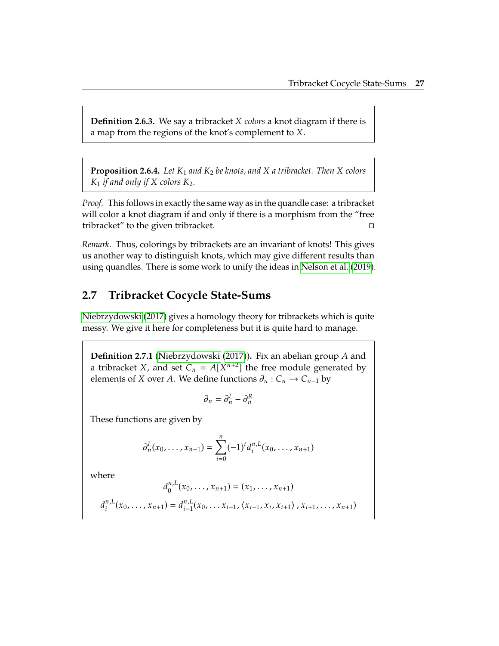**Definition 2.6.3.** We say a tribracket *X colors* a knot diagram if there is a map from the regions of the knot's complement to  $X$ .

**Proposition 2.6.4.** *Let*  $K_1$  *and*  $K_2$  *be knots, and*  $X$  *a tribracket. Then*  $X$  *colors*  $K_1$  *if and only if*  $X$  *colors*  $K_2$ *.* 

*Proof.* This follows in exactly the same way as in the quandle case: a tribracket will color a knot diagram if and only if there is a morphism from the "free tribracket" to the given tribracket.

*Remark.* Thus, colorings by tribrackets are an invariant of knots! This gives us another way to distinguish knots, which may give different results than using quandles. There is some work to unify the ideas in [Nelson et al.](#page-74-0) [\(2019\)](#page-74-0).

### **2.7 Tribracket Cocycle State-Sums**

[Niebrzydowski](#page-74-1) [\(2017\)](#page-74-1) gives a homology theory for tribrackets which is quite messy. We give it here for completeness but it is quite hard to manage.

**Definition 2.7.1** [\(Niebrzydowski](#page-74-1) [\(2017\)](#page-74-1)). Fix an abelian group A and a tribracket *X*, and set  $C_n = A[X^{n+2}]$  the free module generated by<br>elements of *X* ever *A*. We define functions  $\partial : C \to C$  is by elements of *X* over *A*. We define functions  $\partial_n$  :  $C_n \to C_{n-1}$  by

$$
\partial_n = \partial_n^L - \partial_n^R
$$

These functions are given by

$$
\partial_n^L(x_0,\ldots,x_{n+1})=\sum_{i=0}^n(-1)^i d_i^{n,L}(x_0,\ldots,x_{n+1})
$$

where

$$
d_0^{n,L}(x_0, \ldots, x_{n+1}) = (x_1, \ldots, x_{n+1})
$$
  

$$
d_i^{n,L}(x_0, \ldots, x_{n+1}) = d_{i-1}^{n,L}(x_0, \ldots, x_{i-1}, \langle x_{i-1}, x_i, x_{i+1} \rangle, x_{i+1}, \ldots, x_{n+1})
$$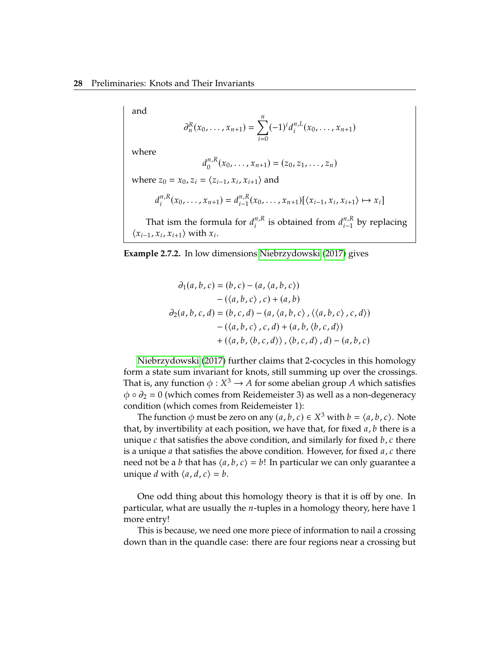and

$$
\partial_n^R(x_0,\ldots,x_{n+1})=\sum_{i=0}^n(-1)^id_i^{n,L}(x_0,\ldots,x_{n+1})
$$

where

$$
d_0^{n,R}(x_0,\ldots,x_{n+1})=(z_0,z_1,\ldots,z_n)
$$

where  $z_0 = x_0$ ,  $z_i = \langle z_{i-1}, x_i, x_{i+1} \rangle$  and

$$
d_i^{n,R}(x_0,\ldots,x_{n+1})=d_{i-1}^{n,R}(x_0,\ldots,x_{n+1})[\langle x_{i-1},x_i,x_{i+1}\rangle\mapsto x_i]
$$

That ism the formula for  $d_i^{n,k}$  is obtained from  $d_{i-1}^{n,k}$  by replacing  $f_i(x; y_i)$  with  $x_i$ .  $\langle x_{i-1}, x_i, x_{i+1} \rangle$  with  $x_i$ .

**Example 2.7.2.** In low dimensions [Niebrzydowski](#page-74-1) [\(2017\)](#page-74-1) gives

$$
\partial_1(a, b, c) = (b, c) - (a, \langle a, b, c \rangle)
$$
  
-( $\langle a, b, c \rangle$ ,  $c$ ) +  $(a, b)$   

$$
\partial_2(a, b, c, d) = (b, c, d) - (a, \langle a, b, c \rangle, \langle \langle a, b, c \rangle, c, d \rangle)
$$
  
-( $\langle a, b, c \rangle$ ,  $c, d$ ) +  $(a, b, \langle b, c, d \rangle)$   
+ ( $\langle a, b, \langle b, c, d \rangle \rangle$ ,  $\langle b, c, d \rangle$ ,  $d$ ) -  $(a, b, c)$ 

[Niebrzydowski](#page-74-1) [\(2017\)](#page-74-1) further claims that 2-cocycles in this homology form a state sum invariant for knots, still summing up over the crossings. That is, any function  $\phi: X^3 \to A$  for some abelian group A which satisfies  $\phi \circ \phi = 0$  (which somes from Reidemeister 3) as well as a non-decendency  $\phi \circ \partial_2 = 0$  (which comes from Reidemeister 3) as well as a non-degeneracy condition (which comes from Reidemeister 1):

The function  $\phi$  must be zero on any  $(a, b, c) \in X^3$  with  $b = \langle a, b, c \rangle$ . Note that, by invertibility at each position, we have that, for fixed  $a$ ,  $b$  there is a unique  $c$  that satisfies the above condition, and similarly for fixed  $b$ ,  $c$  there is a unique *a* that satisfies the above condition. However, for fixed  $a, c$  there need not be a *b* that has  $\langle a, b, c \rangle = b!$  In particular we can only guarantee a unique *d* with  $\langle a, d, c \rangle = b$ .

One odd thing about this homology theory is that it is off by one. In particular, what are usually the  $n$ -tuples in a homology theory, here have 1 more entry!

This is because, we need one more piece of information to nail a crossing down than in the quandle case: there are four regions near a crossing but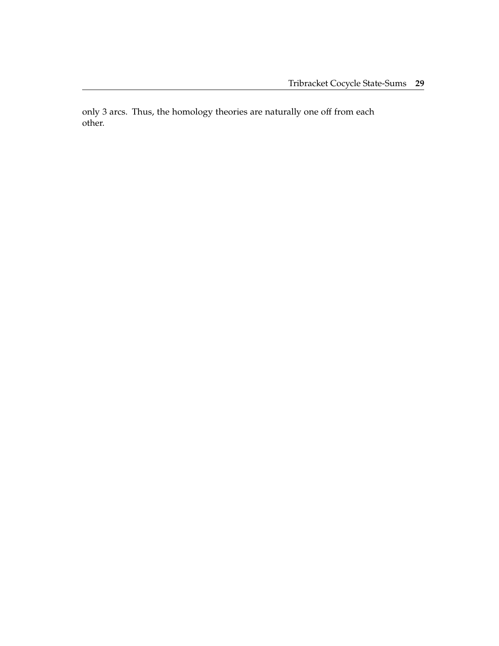only 3 arcs. Thus, the homology theories are naturally one off from each other.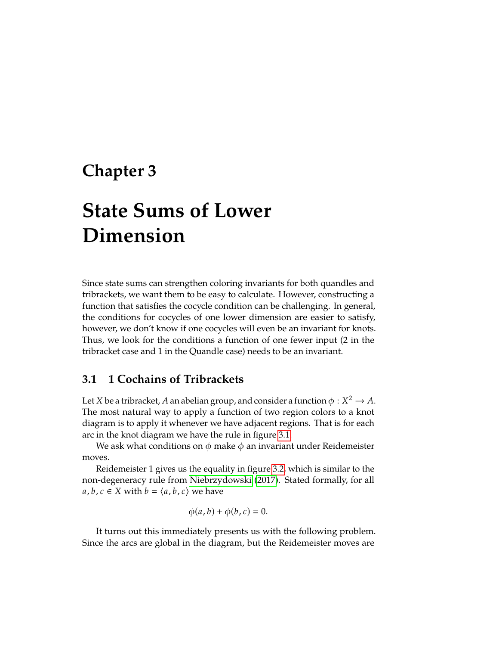# **Chapter 3**

# **State Sums of Lower Dimension**

Since state sums can strengthen coloring invariants for both quandles and tribrackets, we want them to be easy to calculate. However, constructing a function that satisfies the cocycle condition can be challenging. In general, the conditions for cocycles of one lower dimension are easier to satisfy, however, we don't know if one cocycles will even be an invariant for knots. Thus, we look for the conditions a function of one fewer input (2 in the tribracket case and 1 in the Quandle case) needs to be an invariant.

### **3.1 1 Cochains of Tribrackets**

Let *X* be a tribracket, *A* an abelian group, and consider a function  $\phi : X^2 \to A$ .<br>The most natural way to apply a function of two region colors to a knot. The most natural way to apply a function of two region colors to a knot diagram is to apply it whenever we have adjacent regions. That is for each arc in the knot diagram we have the rule in figure [3.1.](#page-42-0)

We ask what conditions on  $\phi$  make  $\phi$  an invariant under Reidemeister moves.

Reidemeister 1 gives us the equality in figure [3.2,](#page-42-1) which is similar to the non-degeneracy rule from [Niebrzydowski](#page-74-1) [\(2017\)](#page-74-1). Stated formally, for all  $a, b, c \in X$  with  $b = \langle a, b, c \rangle$  we have

$$
\phi(a,b)+\phi(b,c)=0.
$$

It turns out this immediately presents us with the following problem. Since the arcs are global in the diagram, but the Reidemeister moves are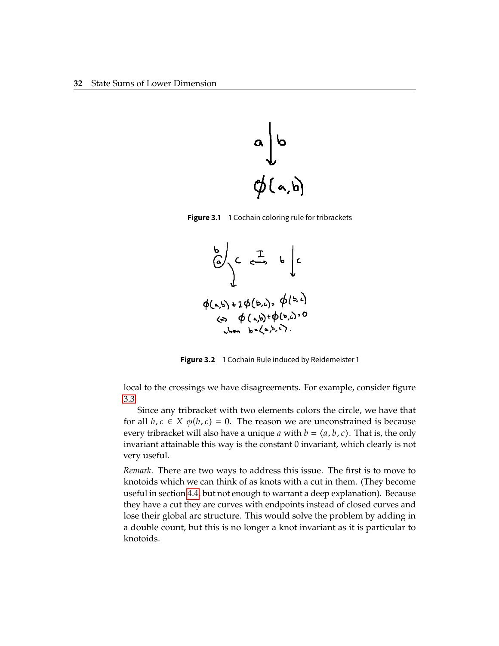<span id="page-42-0"></span>

<span id="page-42-1"></span>**Figure 3.1** 1 Cochain coloring rule for tribrackets



**Figure 3.2** 1 Cochain Rule induced by Reidemeister 1

local to the crossings we have disagreements. For example, consider figure [3.3](#page-43-0)

Since any tribracket with two elements colors the circle, we have that for all  $b, c \in X$   $\phi(b, c) = 0$ . The reason we are unconstrained is because every tribracket will also have a unique *a* with  $b = \langle a, b, c \rangle$ . That is, the only invariant attainable this way is the constant 0 invariant, which clearly is not very useful.

*Remark.* There are two ways to address this issue. The first is to move to knotoids which we can think of as knots with a cut in them. (They become useful in section [4.4,](#page-57-0) but not enough to warrant a deep explanation). Because they have a cut they are curves with endpoints instead of closed curves and lose their global arc structure. This would solve the problem by adding in a double count, but this is no longer a knot invariant as it is particular to knotoids.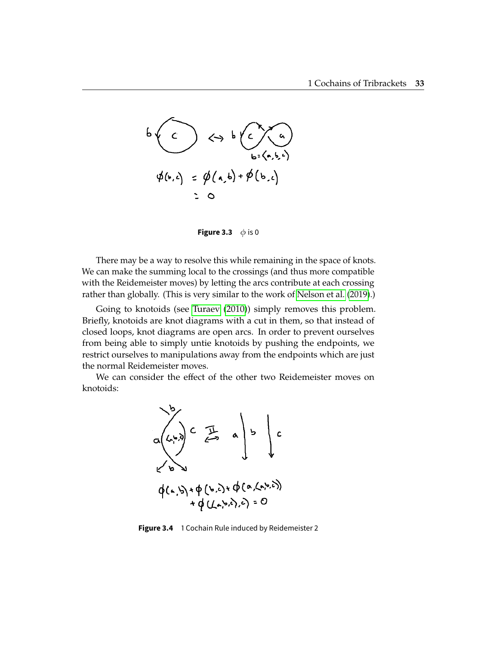<span id="page-43-0"></span>

**Figure 3.3**  $\phi$  is 0

There may be a way to resolve this while remaining in the space of knots. We can make the summing local to the crossings (and thus more compatible with the Reidemeister moves) by letting the arcs contribute at each crossing rather than globally. (This is very similar to the work of [Nelson et al.](#page-74-0) [\(2019\)](#page-74-0).)

Going to knotoids (see [Turaev](#page-74-2) [\(2010\)](#page-74-2)) simply removes this problem. Briefly, knotoids are knot diagrams with a cut in them, so that instead of closed loops, knot diagrams are open arcs. In order to prevent ourselves from being able to simply untie knotoids by pushing the endpoints, we restrict ourselves to manipulations away from the endpoints which are just the normal Reidemeister moves.

We can consider the effect of the other two Reidemeister moves on knotoids:



**Figure 3.4** 1 Cochain Rule induced by Reidemeister 2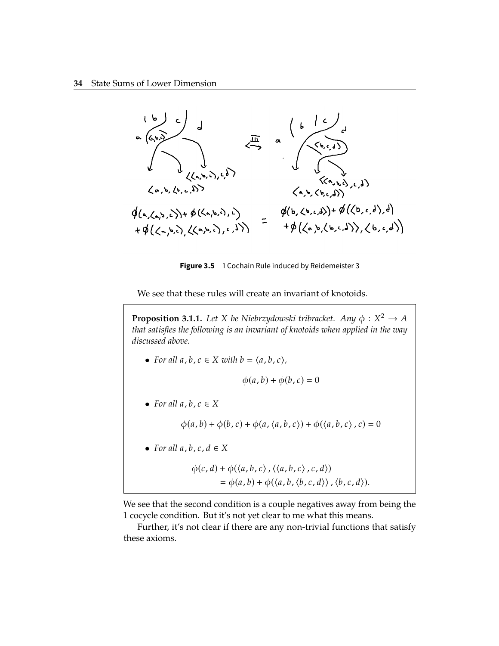

Figure 3.5 1 Cochain Rule induced by Reidemeister 3

We see that these rules will create an invariant of knotoids.

**Proposition 3.1.1.** Let X be Niebrzydowski tribracket. Any  $\phi: X^2 \to A$ <br>that satisfies the following is an inveriant of knotoids when applied in the way *that satisfies the following is an invariant of knotoids when applied in the way discussed above.*

• For all  $a, b, c \in X$  with  $b = \langle a, b, c \rangle$ ,

$$
\phi(a,b)+\phi(b,c)=0
$$

• For all  $a, b, c \in X$ 

 $\phi(a, b) + \phi(b, c) + \phi(a, \langle a, b, c \rangle) + \phi(\langle a, b, c \rangle, c) = 0$ 

• For all  $a, b, c, d \in X$ 

$$
\begin{aligned} \phi(c,d) + \phi(\langle a,b,c \rangle, \langle \langle a,b,c \rangle, c,d \rangle) \\ &= \phi(a,b) + \phi(\langle a,b,\langle b,c,d \rangle), \langle b,c,d \rangle). \end{aligned}
$$

We see that the second condition is a couple negatives away from being the 1 cocycle condition. But it's not yet clear to me what this means.

Further, it's not clear if there are any non-trivial functions that satisfy these axioms.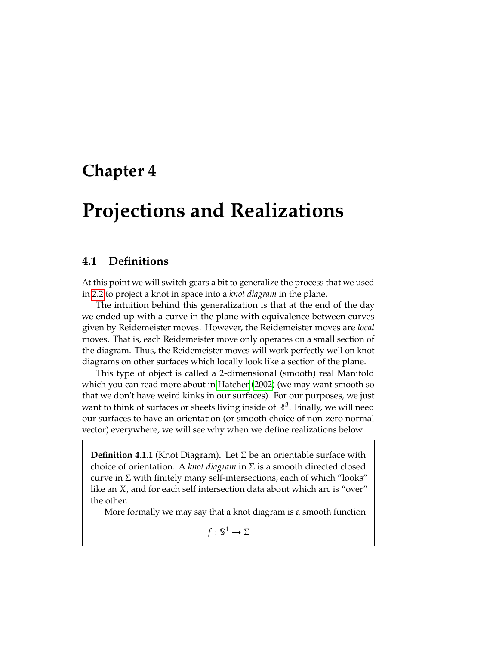# <span id="page-45-0"></span>**Chapter 4**

# **Projections and Realizations**

#### **4.1 Definitions**

At this point we will switch gears a bit to generalize the process that we used in [2.2](#page-14-0) to project a knot in space into a *knot diagram* in the plane.

The intuition behind this generalization is that at the end of the day we ended up with a curve in the plane with equivalence between curves given by Reidemeister moves. However, the Reidemeister moves are *local* moves. That is, each Reidemeister move only operates on a small section of the diagram. Thus, the Reidemeister moves will work perfectly well on knot diagrams on other surfaces which locally look like a section of the plane.

This type of object is called a 2-dimensional (smooth) real Manifold which you can read more about in [Hatcher](#page-73-0) [\(2002\)](#page-73-0) (we may want smooth so that we don't have weird kinks in our surfaces). For our purposes, we just want to think of surfaces or sheets living inside of  $\mathbb{R}^3$ . Finally, we will need our surfaces to have an orientation (or smooth choice of non-zero normal vector) everywhere, we will see why when we define realizations below.

<span id="page-45-1"></span>**Definition 4.1.1** (Knot Diagram)**.** Let Σ be an orientable surface with choice of orientation. A *knot diagram* in Σ is a smooth directed closed curve in  $\Sigma$  with finitely many self-intersections, each of which "looks" like an  $X$ , and for each self intersection data about which arc is "over" the other.

More formally we may say that a knot diagram is a smooth function

 $f: \mathbb{S}^1 \to \Sigma$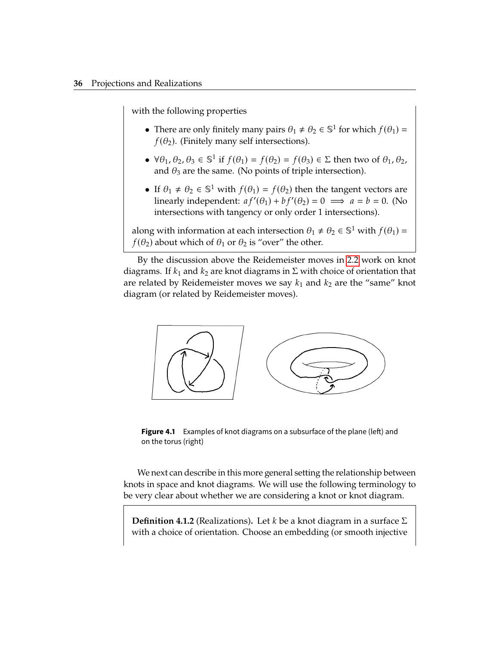with the following properties

- There are only finitely many pairs  $\theta_1 \neq \theta_2 \in \mathbb{S}^1$  for which  $f(\theta_1) = f(\theta_1)$ . (Finitely many solf intersections)  $f(\theta_2)$ . (Finitely many self intersections).
- $\forall \theta_1, \theta_2, \theta_3 \in \mathbb{S}^1$  if  $f(\theta_1) = f(\theta_2) = f(\theta_3) \in \Sigma$  then two of  $\theta_1, \theta_2$ , and  $\theta_3$  are the same. (No points of triple intersection).
- If  $\theta_1 \neq \theta_2 \in \mathbb{S}^1$  with  $f(\theta_1) = f(\theta_2)$  then the tangent vectors are<br>linearly independent:  $a f'(\theta_1) + b f'(\theta_2) = 0 \implies a = h = 0$ . (No linearly independent:  $af'(\theta_1) + bf'(\theta_2) = 0 \implies a = b = 0$ . (No intersections with tangency or only order 1 intersections).

along with information at each intersection  $\theta_1 \neq \theta_2 \in \mathbb{S}^1$  with  $f(\theta_1) = f(\theta_1)$  about which of  $\theta_1$  or  $\theta_2$  is "over" the other  $f(\theta_2)$  about which of  $\theta_1$  or  $\theta_2$  is "over" the other.

By the discussion above the Reidemeister moves in [2.2](#page-14-0) work on knot diagrams. If  $k_1$  and  $k_2$  are knot diagrams in  $\Sigma$  with choice of orientation that are related by Reidemeister moves we say  $k_1$  and  $k_2$  are the "same" knot diagram (or related by Reidemeister moves).



**Figure 4.1** Examples of knot diagrams on a subsurface of the plane (left) and on the torus (right)

We next can describe in this more general setting the relationship between knots in space and knot diagrams. We will use the following terminology to be very clear about whether we are considering a knot or knot diagram.

**Definition 4.1.2** (Realizations). Let  $k$  be a knot diagram in a surface  $\Sigma$ with a choice of orientation. Choose an embedding (or smooth injective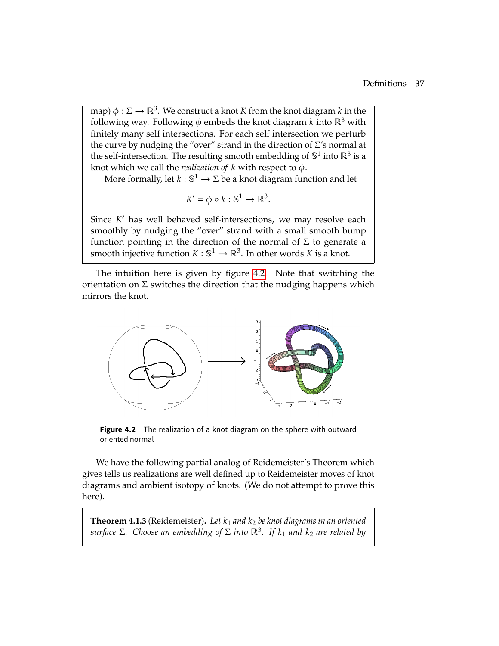map)  $\phi : \Sigma \to \mathbb{R}^3$ . We construct a knot K from the knot diagram k in the following way. Following  $\phi$  embods the knot diagram k into  $\mathbb{R}^3$  with following way. Following  $\phi$  embeds the knot diagram k into  $\mathbb{R}^3$  with finitely many self intersections. For each self intersection we perturb the curve by nudging the "over" strand in the direction of  $\Sigma$ 's normal at the self-intersection. The resulting smooth embedding of  $\mathbb{S}^1$  into  $\mathbb{R}^3$  is a knot which we call the *realization of*  $k$  with respect to  $\phi$ .

More formally, let  $k : \mathbb{S}^1 \to \Sigma$  be a knot diagram function and let

$$
K' = \phi \circ k : \mathbb{S}^1 \to \mathbb{R}^3.
$$

Since K' has well behaved self-intersections, we may resolve each<br>smoothly by pudging the "over" strand with a small smooth hump smoothly by nudging the "over" strand with a small smooth bump function pointing in the direction of the normal of  $\Sigma$  to generate a smooth injective function  $K : \mathbb{S}^1 \to \mathbb{R}^3$ . In other words  $K$  is a knot.

The intuition here is given by figure [4.2.](#page-47-0) Note that switching the orientation on  $\Sigma$  switches the direction that the nudging happens which mirrors the knot.

<span id="page-47-0"></span>

**Figure 4.2** The realization of a knot diagram on the sphere with outward oriented normal

We have the following partial analog of Reidemeister's Theorem which gives tells us realizations are well defined up to Reidemeister moves of knot diagrams and ambient isotopy of knots. (We do not attempt to prove this here).

<span id="page-47-1"></span>**Theorem 4.1.3** (Reidemeister). Let  $k_1$  and  $k_2$  be knot diagrams in an oriented *surface* Σ. Choose an embedding of Σ into  $\mathbb{R}^3$ . If  $k_1$  and  $k_2$  are related by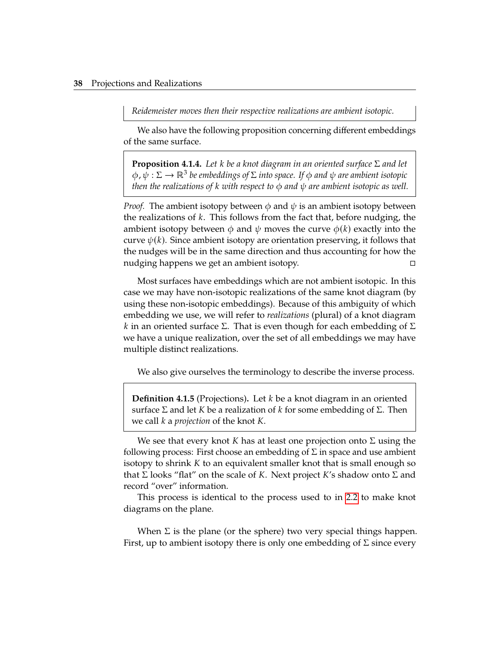*Reidemeister moves then their respective realizations are ambient isotopic.*

We also have the following proposition concerning different embeddings of the same surface.

**Proposition 4.1.4.** *Let* 𝑘 *be a knot diagram in an oriented surface* <sup>Σ</sup> *and let* <sup>𝜙</sup>, <sup>𝜓</sup> : <sup>Σ</sup> <sup>→</sup> <sup>ℝ</sup><sup>3</sup> *be embeddings of* Σ *into space. If* 𝜙 *and* 𝜓 *are ambient isotopic then the realizations of*  $k$  *with respect to*  $\phi$  *and*  $\psi$  *are ambient isotopic as well.* 

*Proof.* The ambient isotopy between  $\phi$  and  $\psi$  is an ambient isotopy between the realizations of  $k$ . This follows from the fact that, before nudging, the ambient isotopy between  $\phi$  and  $\psi$  moves the curve  $\phi(k)$  exactly into the curve  $\psi(k)$ . Since ambient isotopy are orientation preserving, it follows that the nudges will be in the same direction and thus accounting for how the nudging happens we get an ambient isotopy.

Most surfaces have embeddings which are not ambient isotopic. In this case we may have non-isotopic realizations of the same knot diagram (by using these non-isotopic embeddings). Because of this ambiguity of which embedding we use, we will refer to *realizations* (plural) of a knot diagram  $k$  in an oriented surface Σ. That is even though for each embedding of Σ we have a unique realization, over the set of all embeddings we may have multiple distinct realizations.

We also give ourselves the terminology to describe the inverse process.

**Definition 4.1.5** (Projections). Let  $k$  be a knot diagram in an oriented surface  $\Sigma$  and let K be a realization of k for some embedding of  $\Sigma$ . Then we call *k* a *projection* of the knot *K*.

We see that every knot K has at least one projection onto  $\Sigma$  using the following process: First choose an embedding of  $\Sigma$  in space and use ambient isotopy to shrink  $K$  to an equivalent smaller knot that is small enough so that  $\Sigma$  looks "flat" on the scale of K. Next project K's shadow onto  $\Sigma$  and record "over" information.

This process is identical to the process used to in [2.2](#page-14-0) to make knot diagrams on the plane.

When  $\Sigma$  is the plane (or the sphere) two very special things happen. First, up to ambient isotopy there is only one embedding of  $\Sigma$  since every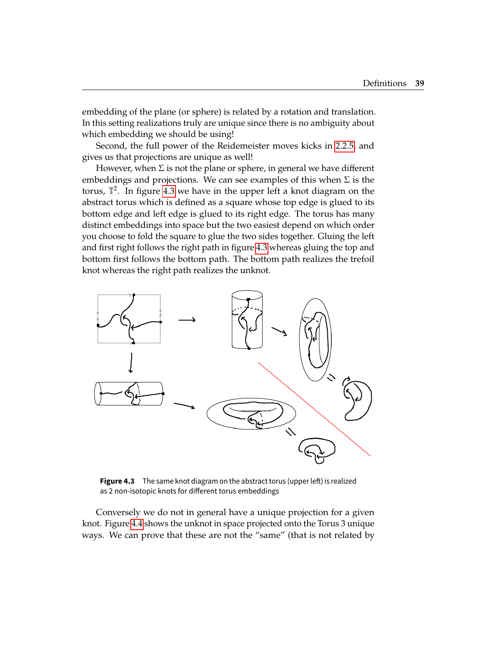embedding of the plane (or sphere) is related by a rotation and translation. In this setting realizations truly are unique since there is no ambiguity about which embedding we should be using!

Second, the full power of the Reidemeister moves kicks in [2.2.5,](#page-18-0) and gives us that projections are unique as well!

However, when  $\Sigma$  is not the plane or sphere, in general we have different embeddings and projections. We can see examples of this when  $\Sigma$  is the torus,  $\mathbb{T}^2$ . In figure [4.3](#page-49-0) we have in the upper left a knot diagram on the abstract torus which is defined as a square whose top edge is glued to its bottom edge and left edge is glued to its right edge. The torus has many distinct embeddings into space but the two easiest depend on which order you choose to fold the square to glue the two sides together. Gluing the left and first right follows the right path in figure [4.3](#page-49-0) whereas gluing the top and bottom first follows the bottom path. The bottom path realizes the trefoil knot whereas the right path realizes the unknot.

<span id="page-49-0"></span>

Figure 4.3 The same knot diagram on the abstract torus (upper left) is realized as 2 non-isotopic knots for different torus embeddings

Conversely we do not in general have a unique projection for a given knot. Figure [4.4](#page-50-0) shows the unknot in space projected onto the Torus 3 unique ways. We can prove that these are not the "same" (that is not related by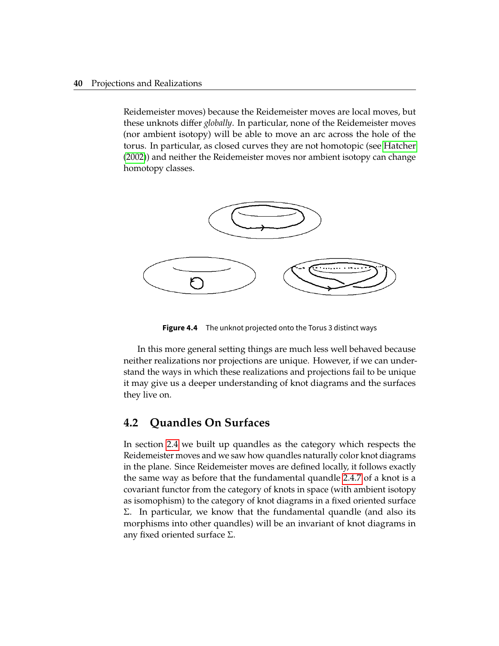Reidemeister moves) because the Reidemeister moves are local moves, but these unknots differ *globally*. In particular, none of the Reidemeister moves (nor ambient isotopy) will be able to move an arc across the hole of the torus. In particular, as closed curves they are not homotopic (see [Hatcher](#page-73-0) [\(2002\)](#page-73-0)) and neither the Reidemeister moves nor ambient isotopy can change homotopy classes.

<span id="page-50-0"></span>

**Figure 4.4** The unknot projected onto the Torus 3 distinct ways

In this more general setting things are much less well behaved because neither realizations nor projections are unique. However, if we can understand the ways in which these realizations and projections fail to be unique it may give us a deeper understanding of knot diagrams and the surfaces they live on.

### **4.2 Quandles On Surfaces**

In section [2.4](#page-21-0) we built up quandles as the category which respects the Reidemeister moves and we saw how quandles naturally color knot diagrams in the plane. Since Reidemeister moves are defined locally, it follows exactly the same way as before that the fundamental quandle [2.4.7](#page-25-0) of a knot is a covariant functor from the category of knots in space (with ambient isotopy as isomophism) to the category of knot diagrams in a fixed oriented surface Σ. In particular, we know that the fundamental quandle (and also its morphisms into other quandles) will be an invariant of knot diagrams in any fixed oriented surface  $Σ$ .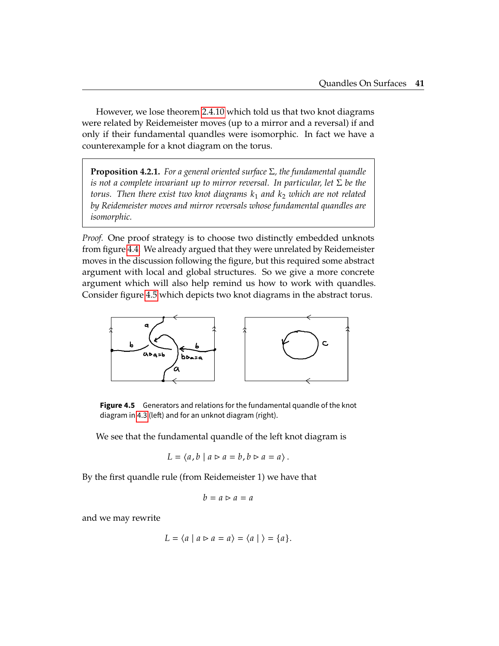However, we lose theorem [2.4.10](#page-26-0) which told us that two knot diagrams were related by Reidemeister moves (up to a mirror and a reversal) if and only if their fundamental quandles were isomorphic. In fact we have a counterexample for a knot diagram on the torus.

<span id="page-51-1"></span>**Proposition 4.2.1.** *For a general oriented surface* Σ*, the fundamental quandle is not a complete invariant up to mirror reversal. In particular, let* Σ *be the torus. Then there exist two knot diagrams*  $k_1$  *and*  $k_2$  *which are not related by Reidemeister moves and mirror reversals whose fundamental quandles are isomorphic.*

*Proof.* One proof strategy is to choose two distinctly embedded unknots from figure [4.4.](#page-50-0) We already argued that they were unrelated by Reidemeister moves in the discussion following the figure, but this required some abstract argument with local and global structures. So we give a more concrete argument which will also help remind us how to work with quandles. Consider figure [4.5](#page-51-0) which depicts two knot diagrams in the abstract torus.

<span id="page-51-0"></span>

**Figure 4.5** Generators and relations for the fundamental quandle of the knot diagram in [4.3](#page-49-0) (left) and for an unknot diagram (right).

We see that the fundamental quandle of the left knot diagram is

$$
L = \langle a, b \mid a \rhd a = b, b \rhd a = a \rangle.
$$

By the first quandle rule (from Reidemeister 1) we have that

$$
b = a \rhd a = a
$$

and we may rewrite

$$
L = \langle a \mid a \rhd a = a \rangle = \langle a \mid \rangle = \{a\}.
$$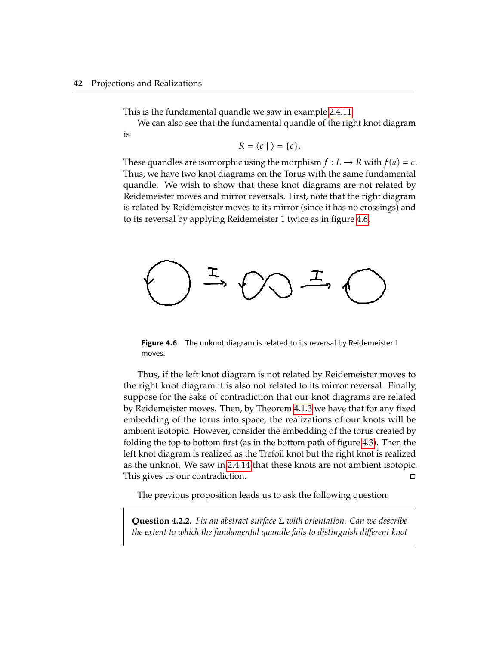This is the fundamental quandle we saw in example [2.4.11.](#page-27-0)

We can also see that the fundamental quandle of the right knot diagram is

$$
R = \langle c | \rangle = \{c\}.
$$

These quandles are isomorphic using the morphism  $f: L \to R$  with  $f(a) = c$ . Thus, we have two knot diagrams on the Torus with the same fundamental quandle. We wish to show that these knot diagrams are not related by Reidemeister moves and mirror reversals. First, note that the right diagram is related by Reidemeister moves to its mirror (since it has no crossings) and to its reversal by applying Reidemeister 1 twice as in figure [4.6.](#page-52-0)

<span id="page-52-0"></span>

**Figure 4.6** The unknot diagram is related to its reversal by Reidemeister 1 moves.

Thus, if the left knot diagram is not related by Reidemeister moves to the right knot diagram it is also not related to its mirror reversal. Finally, suppose for the sake of contradiction that our knot diagrams are related by Reidemeister moves. Then, by Theorem [4.1.3](#page-47-1) we have that for any fixed embedding of the torus into space, the realizations of our knots will be ambient isotopic. However, consider the embedding of the torus created by folding the top to bottom first (as in the bottom path of figure [4.3\)](#page-49-0). Then the left knot diagram is realized as the Trefoil knot but the right knot is realized as the unknot. We saw in [2.4.14](#page-29-0) that these knots are not ambient isotopic. This gives us our contradiction.

The previous proposition leads us to ask the following question:

**Question 4.2.2.** *Fix an abstract surface* Σ *with orientation. Can we describe the extent to which the fundamental quandle fails to distinguish different knot*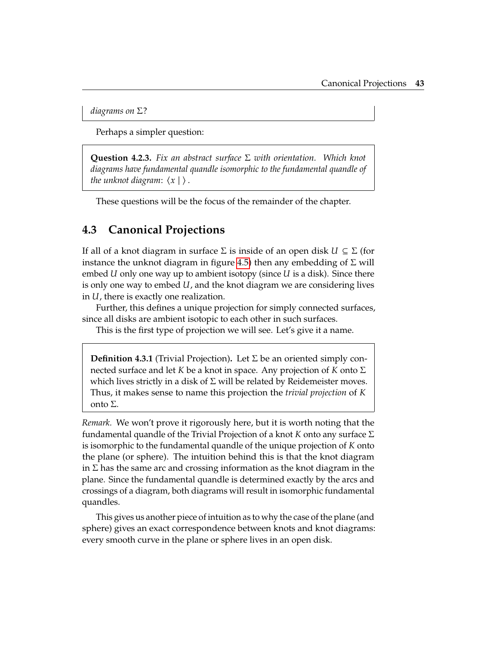*diagrams on* Σ*?*

Perhaps a simpler question:

**Question 4.2.3.** *Fix an abstract surface* Σ *with orientation. Which knot diagrams have fundamental quandle isomorphic to the fundamental quandle of the unknot diagram:*  $\langle x | \rangle$ .

These questions will be the focus of the remainder of the chapter.

#### **4.3 Canonical Projections**

If all of a knot diagram in surface  $\Sigma$  is inside of an open disk  $U \subseteq \Sigma$  (for instance the unknot diagram in figure [4.5\)](#page-51-0) then any embedding of Σ will embed  $U$  only one way up to ambient isotopy (since  $U$  is a disk). Since there is only one way to embed  $U$ , and the knot diagram we are considering lives in  $U$ , there is exactly one realization.

Further, this defines a unique projection for simply connected surfaces, since all disks are ambient isotopic to each other in such surfaces.

This is the first type of projection we will see. Let's give it a name.

**Definition 4.3.1** (Trivial Projection)**.** Let Σ be an oriented simply connected surface and let  $K$  be a knot in space. Any projection of  $K$  onto  $\Sigma$ which lives strictly in a disk of  $\Sigma$  will be related by Reidemeister moves. Thus, it makes sense to name this projection the *trivial projection* of K onto Σ.

*Remark.* We won't prove it rigorously here, but it is worth noting that the fundamental quandle of the Trivial Projection of a knot  $K$  onto any surface  $\Sigma$ is isomorphic to the fundamental quandle of the unique projection of K onto the plane (or sphere). The intuition behind this is that the knot diagram in  $\Sigma$  has the same arc and crossing information as the knot diagram in the plane. Since the fundamental quandle is determined exactly by the arcs and crossings of a diagram, both diagrams will result in isomorphic fundamental quandles.

This gives us another piece of intuition as to why the case of the plane (and sphere) gives an exact correspondence between knots and knot diagrams: every smooth curve in the plane or sphere lives in an open disk.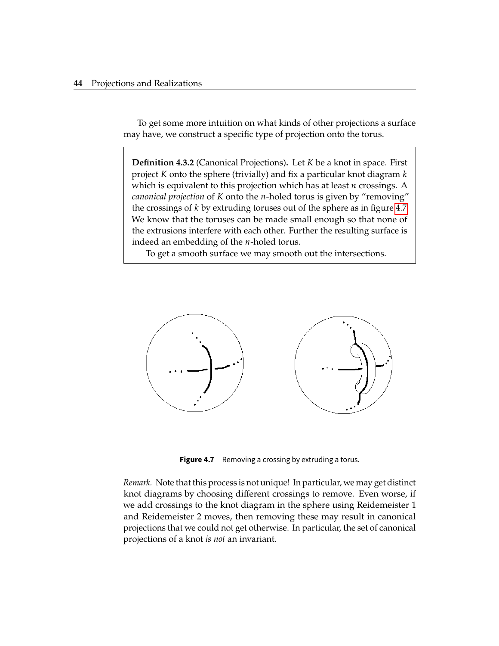To get some more intuition on what kinds of other projections a surface may have, we construct a specific type of projection onto the torus.

**Definition 4.3.2** (Canonical Projections). Let *K* be a knot in space. First project  $K$  onto the sphere (trivially) and fix a particular knot diagram  $k$ which is equivalent to this projection which has at least  $n$  crossings. A *canonical projection* of *K* onto the *n*-holed torus is given by "removing" the crossings of  $k$  by extruding toruses out of the sphere as in figure [4.7.](#page-54-0) We know that the toruses can be made small enough so that none of the extrusions interfere with each other. Further the resulting surface is indeed an embedding of the  $n$ -holed torus.

To get a smooth surface we may smooth out the intersections.

<span id="page-54-0"></span>

**Figure 4.7** Removing a crossing by extruding a torus.

*Remark.* Note that this process is not unique! In particular, we may get distinct knot diagrams by choosing different crossings to remove. Even worse, if we add crossings to the knot diagram in the sphere using Reidemeister 1 and Reidemeister 2 moves, then removing these may result in canonical projections that we could not get otherwise. In particular, the set of canonical projections of a knot *is not* an invariant.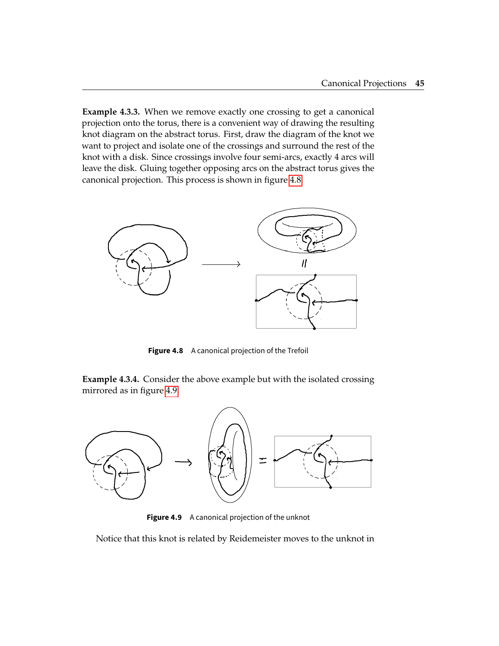<span id="page-55-2"></span>**Example 4.3.3.** When we remove exactly one crossing to get a canonical projection onto the torus, there is a convenient way of drawing the resulting knot diagram on the abstract torus. First, draw the diagram of the knot we want to project and isolate one of the crossings and surround the rest of the knot with a disk. Since crossings involve four semi-arcs, exactly 4 arcs will leave the disk. Gluing together opposing arcs on the abstract torus gives the canonical projection. This process is shown in figure [4.8.](#page-55-0)

<span id="page-55-0"></span>

**Figure 4.8** A canonical projection of the Trefoil

<span id="page-55-3"></span>**Example 4.3.4.** Consider the above example but with the isolated crossing mirrored as in figure [4.9.](#page-55-1)

<span id="page-55-1"></span>

**Figure 4.9** A canonical projection of the unknot

Notice that this knot is related by Reidemeister moves to the unknot in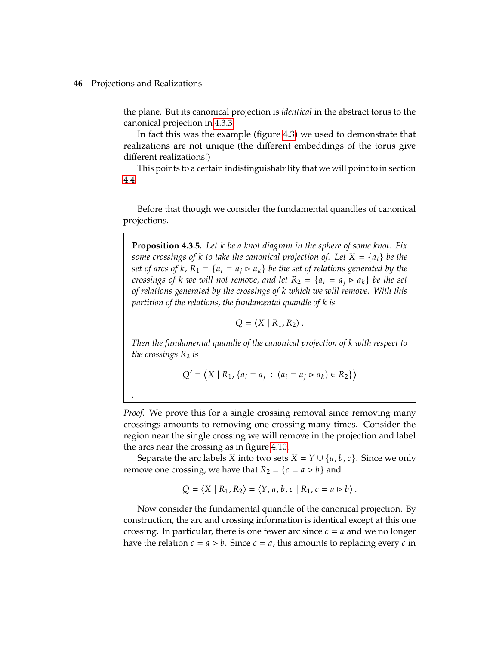*.*

the plane. But its canonical projection is *identical* in the abstract torus to the canonical projection in [4.3.3!](#page-55-2)

In fact this was the example (figure [4.3\)](#page-49-0) we used to demonstrate that realizations are not unique (the different embeddings of the torus give different realizations!)

This points to a certain indistinguishability that we will point to in section [4.4.](#page-57-0)

Before that though we consider the fundamental quandles of canonical projections.

<span id="page-56-0"></span>**Proposition 4.3.5.** Let *k* be a knot diagram in the sphere of some knot. Fix *some crossings of k* to take the canonical projection of. Let  $X = \{a_i\}$  *be the set of arcs of k,*  $R_1 = \{a_i = a_j \triangleright a_k\}$  *be the set of relations generated by the crossings of k we will not remove, and let*  $R_2 = \{a_i \ge a_k\}$  *be the set of relations generated by the crossings of* 𝑘 *which we will remove. With this partition of the relations, the fundamental quandle of k is* 

$$
Q = \langle X \mid R_1, R_2 \rangle.
$$

*Then the fundamental quandle of the canonical projection of k with respect to the crossings*  $R_2$  *is* 

$$
Q' = \langle X | R_1, \{a_i = a_j : (a_i = a_j \triangleright a_k) \in R_2\} \rangle
$$

*Proof.* We prove this for a single crossing removal since removing many crossings amounts to removing one crossing many times. Consider the region near the single crossing we will remove in the projection and label the arcs near the crossing as in figure [4.10.](#page-57-1)

Separate the arc labels *X* into two sets *X* =  $Y \cup \{a, b, c\}$ . Since we only remove one crossing, we have that  $R_2 = \{c = a \triangleright b\}$  and

$$
Q = \langle X | R_1, R_2 \rangle = \langle Y, a, b, c | R_1, c = a \triangleright b \rangle.
$$

Now consider the fundamental quandle of the canonical projection. By construction, the arc and crossing information is identical except at this one crossing. In particular, there is one fewer arc since  $c = a$  and we no longer have the relation  $c = a \triangleright b$ . Since  $c = a$ , this amounts to replacing every c in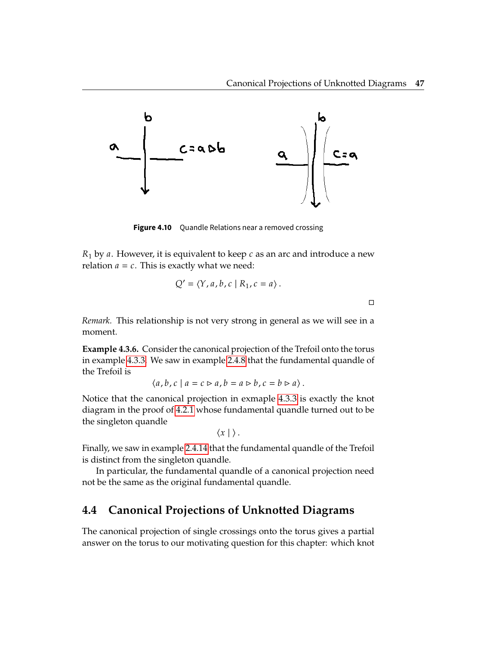$\Box$ 

<span id="page-57-1"></span>

**Figure 4.10** Quandle Relations near a removed crossing

 $R_1$  by a. However, it is equivalent to keep  $c$  as an arc and introduce a new relation  $a = c$ . This is exactly what we need:

$$
Q' = \langle Y, a, b, c \mid R_1, c = a \rangle.
$$

*Remark.* This relationship is not very strong in general as we will see in a moment.

**Example 4.3.6.** Consider the canonical projection of the Trefoil onto the torus in example [4.3.3.](#page-55-2) We saw in example [2.4.8](#page-25-1) that the fundamental quandle of the Trefoil is

$$
\langle a,b,c \mid a=c \rhd a, b=a \rhd b, c=b \rhd a \rangle.
$$

Notice that the canonical projection in exmaple [4.3.3](#page-55-2) is exactly the knot diagram in the proof of [4.2.1](#page-51-1) whose fundamental quandle turned out to be the singleton quandle

$$
\langle x | \rangle.
$$

Finally, we saw in example [2.4.14](#page-29-0) that the fundamental quandle of the Trefoil is distinct from the singleton quandle.

In particular, the fundamental quandle of a canonical projection need not be the same as the original fundamental quandle.

## <span id="page-57-0"></span>**4.4 Canonical Projections of Unknotted Diagrams**

The canonical projection of single crossings onto the torus gives a partial answer on the torus to our motivating question for this chapter: which knot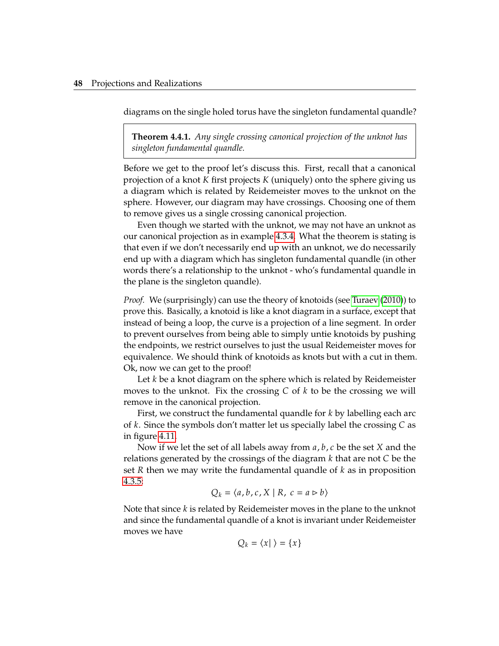diagrams on the single holed torus have the singleton fundamental quandle?

<span id="page-58-0"></span>**Theorem 4.4.1.** *Any single crossing canonical projection of the unknot has singleton fundamental quandle.*

Before we get to the proof let's discuss this. First, recall that a canonical projection of a knot  $K$  first projects  $K$  (uniquely) onto the sphere giving us a diagram which is related by Reidemeister moves to the unknot on the sphere. However, our diagram may have crossings. Choosing one of them to remove gives us a single crossing canonical projection.

Even though we started with the unknot, we may not have an unknot as our canonical projection as in example [4.3.4.](#page-55-3) What the theorem is stating is that even if we don't necessarily end up with an unknot, we do necessarily end up with a diagram which has singleton fundamental quandle (in other words there's a relationship to the unknot - who's fundamental quandle in the plane is the singleton quandle).

*Proof.* We (surprisingly) can use the theory of knotoids (see [Turaev](#page-74-2) [\(2010\)](#page-74-2)) to prove this. Basically, a knotoid is like a knot diagram in a surface, except that instead of being a loop, the curve is a projection of a line segment. In order to prevent ourselves from being able to simply untie knotoids by pushing the endpoints, we restrict ourselves to just the usual Reidemeister moves for equivalence. We should think of knotoids as knots but with a cut in them. Ok, now we can get to the proof!

Let  $k$  be a knot diagram on the sphere which is related by Reidemeister moves to the unknot. Fix the crossing  $C$  of  $k$  to be the crossing we will remove in the canonical projection.

First, we construct the fundamental quandle for  $k$  by labelling each arc of  $k$ . Since the symbols don't matter let us specially label the crossing  $C$  as in figure [4.11.](#page-59-0)

Now if we let the set of all labels away from  $a, b, c$  be the set X and the relations generated by the crossings of the diagram  $k$  that are not  $C$  be the set  *then we may write the fundamental quandle of*  $*k*$  *as in proposition* [4.3.5:](#page-56-0)

$$
Q_k = \langle a, b, c, X \mid R, c = a \rhd b \rangle
$$

Note that since  $k$  is related by Reidemeister moves in the plane to the unknot and since the fundamental quandle of a knot is invariant under Reidemeister moves we have

$$
Q_k = \langle x | \rangle = \{ x \}
$$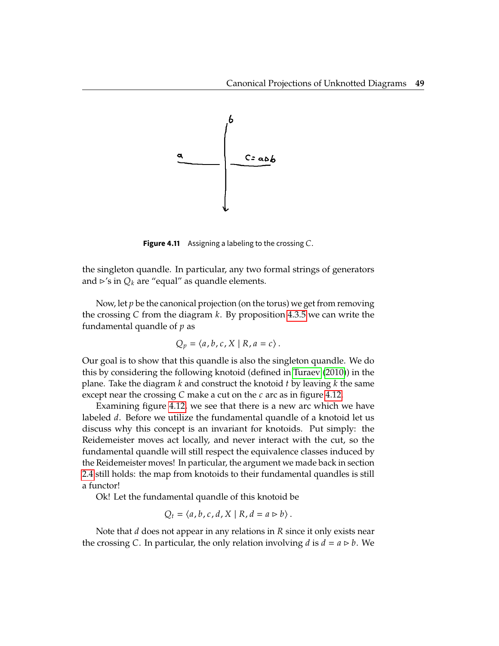<span id="page-59-0"></span>

**Figure 4.11** Assigning a labeling to the crossing C.

the singleton quandle. In particular, any two formal strings of generators and  $\triangleright$ 's in  $Q_k$  are "equal" as quandle elements.

Now, let  $p$  be the canonical projection (on the torus) we get from removing the crossing  $C$  from the diagram  $k$ . By proposition [4.3.5](#page-56-0) we can write the fundamental quandle of  $p$  as

$$
Q_p = \langle a, b, c, X \mid R, a = c \rangle.
$$

Our goal is to show that this quandle is also the singleton quandle. We do this by considering the following knotoid (defined in [Turaev](#page-74-2) [\(2010\)](#page-74-2)) in the plane. Take the diagram  $k$  and construct the knotoid  $t$  by leaving  $k$  the same except near the crossing  $C$  make a cut on the  $c$  arc as in figure [4.12.](#page-60-0)

Examining figure [4.12,](#page-60-0) we see that there is a new arc which we have labeled  $d$ . Before we utilize the fundamental quandle of a knotoid let us discuss why this concept is an invariant for knotoids. Put simply: the Reidemeister moves act locally, and never interact with the cut, so the fundamental quandle will still respect the equivalence classes induced by the Reidemeister moves! In particular, the argument we made back in section [2.4](#page-21-0) still holds: the map from knotoids to their fundamental quandles is still a functor!

Ok! Let the fundamental quandle of this knotoid be

$$
Q_t = \langle a, b, c, d, X \mid R, d = a \triangleright b \rangle.
$$

Note that  $d$  does not appear in any relations in  $R$  since it only exists near the crossing C. In particular, the only relation involving  $d$  is  $d = a \triangleright b$ . We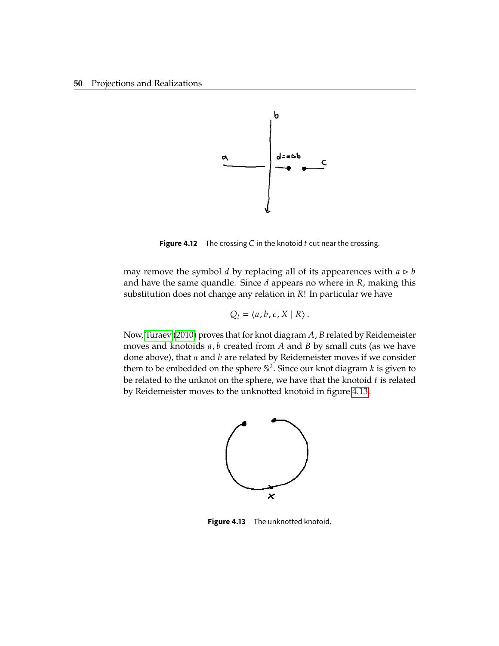<span id="page-60-0"></span>

**Figure 4.12** The crossing  $C$  in the knotoid  $t$  cut near the crossing.

may remove the symbol *d* by replacing all of its appearences with  $a \triangleright b$ and have the same quandle. Since  $d$  appears no where in  $R$ , making this substitution does not change any relation in  $R!$ ! In particular we have

$$
Q_t = \langle a, b, c, X \mid R \rangle.
$$

<span id="page-60-1"></span>Now, [Turaev](#page-74-2) [\(2010\)](#page-74-2) proves that for knot diagram  $A$ ,  $B$  related by Reidemeister moves and knotoids  $a$ ,  $b$  created from  $A$  and  $B$  by small cuts (as we have done above), that  $a$  and  $b$  are related by Reidemeister moves if we consider them to be embedded on the sphere  $\mathbb{S}^2$ . Since our knot diagram  $k$  is given to be related to the unknot on the sphere, we have that the knotoid t is related be related to the unknot on the sphere, we have that the knotoid  $t$  is related by Reidemeister moves to the unknotted knotoid in figure [4.13.](#page-60-1)



Figure 4.13 The unknotted knotoid.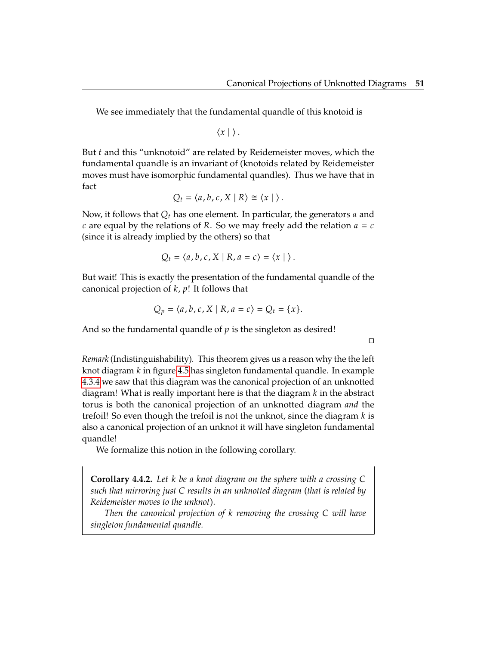We see immediately that the fundamental quandle of this knotoid is

 $\langle x | \rangle$ .

But  $t$  and this "unknotoid" are related by Reidemeister moves, which the fundamental quandle is an invariant of (knotoids related by Reidemeister moves must have isomorphic fundamental quandles). Thus we have that in fact

$$
Q_t = \langle a, b, c, X \mid R \rangle \cong \langle x \mid \rangle.
$$

Now, it follows that  $Q_t$  has one element. In particular, the generators  $a$  and c are equal by the relations of R. So we may freely add the relation  $a = c$ (since it is already implied by the others) so that

$$
Q_t = \langle a, b, c, X \mid R, a = c \rangle = \langle x \mid \rangle.
$$

But wait! This is exactly the presentation of the fundamental quandle of the canonical projection of  $k$ ,  $p!$ ! It follows that

$$
Q_p = \langle a, b, c, X \mid R, a = c \rangle = Q_t = \{x\}.
$$

And so the fundamental quandle of  $p$  is the singleton as desired!

 $\Box$ 

*Remark* (Indistinguishability)*.* This theorem gives us a reason why the the left knot diagram  $k$  in figure [4.5](#page-51-0) has singleton fundamental quandle. In example [4.3.4](#page-55-3) we saw that this diagram was the canonical projection of an unknotted diagram! What is really important here is that the diagram  $k$  in the abstract torus is both the canonical projection of an unknotted diagram *and* the trefoil! So even though the trefoil is not the unknot, since the diagram  $k$  is also a canonical projection of an unknot it will have singleton fundamental quandle!

We formalize this notion in the following corollary.

**Corollary 4.4.2.** Let *k* be a knot diagram on the sphere with a crossing C *such that mirroring just* 𝐶 *results in an unknotted diagram (that is related by Reidemeister moves to the unknot).*

*Then the canonical projection of k removing the crossing C will have singleton fundamental quandle.*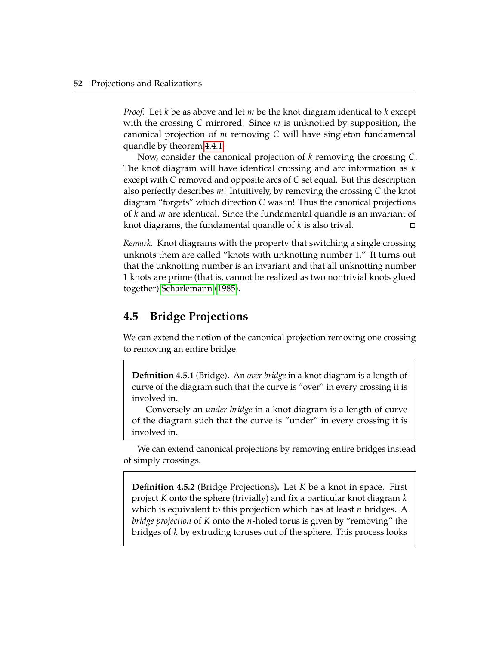*Proof.* Let  $k$  be as above and let  $m$  be the knot diagram identical to  $k$  except with the crossing C mirrored. Since  $m$  is unknotted by supposition, the canonical projection of  $m$  removing  $C$  will have singleton fundamental quandle by theorem [4.4.1.](#page-58-0)

Now, consider the canonical projection of  $k$  removing the crossing  $C$ . The knot diagram will have identical crossing and arc information as  $k$ except with  $\mathcal C$  removed and opposite arcs of  $\mathcal C$  set equal. But this description also perfectly describes  $m!$ ! Intuitively, by removing the crossing C the knot diagram "forgets" which direction  $C$  was in! Thus the canonical projections of *k* and *m* are identical. Since the fundamental quandle is an invariant of knot diagrams, the fundamental quandle of *k* is also trival. knot diagrams, the fundamental quandle of  $k$  is also trival.

*Remark.* Knot diagrams with the property that switching a single crossing unknots them are called "knots with unknotting number 1." It turns out that the unknotting number is an invariant and that all unknotting number 1 knots are prime (that is, cannot be realized as two nontrivial knots glued together) [Scharlemann](#page-74-3) [\(1985\)](#page-74-3).

#### **4.5 Bridge Projections**

We can extend the notion of the canonical projection removing one crossing to removing an entire bridge.

**Definition 4.5.1** (Bridge)**.** An *over bridge* in a knot diagram is a length of curve of the diagram such that the curve is "over" in every crossing it is involved in.

Conversely an *under bridge* in a knot diagram is a length of curve of the diagram such that the curve is "under" in every crossing it is involved in.

We can extend canonical projections by removing entire bridges instead of simply crossings.

**Definition 4.5.2** (Bridge Projections). Let K be a knot in space. First project K onto the sphere (trivially) and fix a particular knot diagram  $k$ which is equivalent to this projection which has at least  $n$  bridges. A *bridge projection* of K onto the *n*-holed torus is given by "removing" the bridges of  $k$  by extruding toruses out of the sphere. This process looks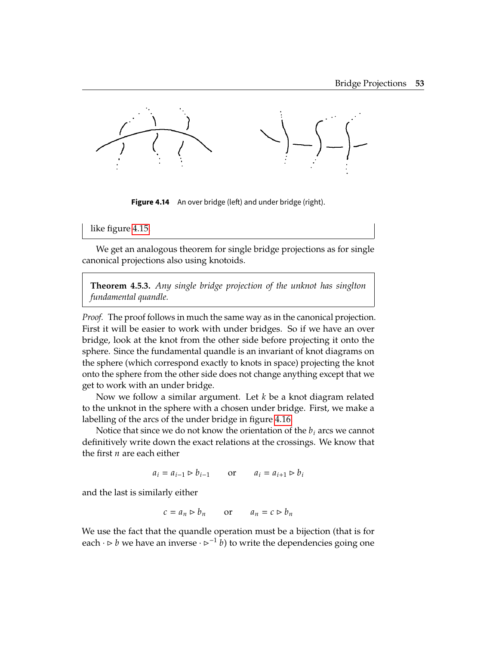

Figure 4.14 An over bridge (left) and under bridge (right).

like figure [4.15.](#page-64-0)

We get an analogous theorem for single bridge projections as for single canonical projections also using knotoids.

**Theorem 4.5.3.** *Any single bridge projection of the unknot has singlton fundamental quandle.*

*Proof.* The proof follows in much the same way as in the canonical projection. First it will be easier to work with under bridges. So if we have an over bridge, look at the knot from the other side before projecting it onto the sphere. Since the fundamental quandle is an invariant of knot diagrams on the sphere (which correspond exactly to knots in space) projecting the knot onto the sphere from the other side does not change anything except that we get to work with an under bridge.

Now we follow a similar argument. Let  $k$  be a knot diagram related to the unknot in the sphere with a chosen under bridge. First, we make a labelling of the arcs of the under bridge in figure [4.16.](#page-65-0)

Notice that since we do not know the orientation of the  $b_i$  arcs we cannot definitively write down the exact relations at the crossings. We know that the first  $n$  are each either

 $a_i = a_{i-1} \triangleright b_{i-1}$  or  $a_i = a_{i+1} \triangleright b_i$ 

and the last is similarly either

$$
c = a_n \rhd b_n
$$
 or  $a_n = c \rhd b_n$ 

We use the fact that the quandle operation must be a bijection (that is for each  $\cdot \triangleright b$  we have an inverse  $\cdot \triangleright^{-1} b$  to write the dependencies going one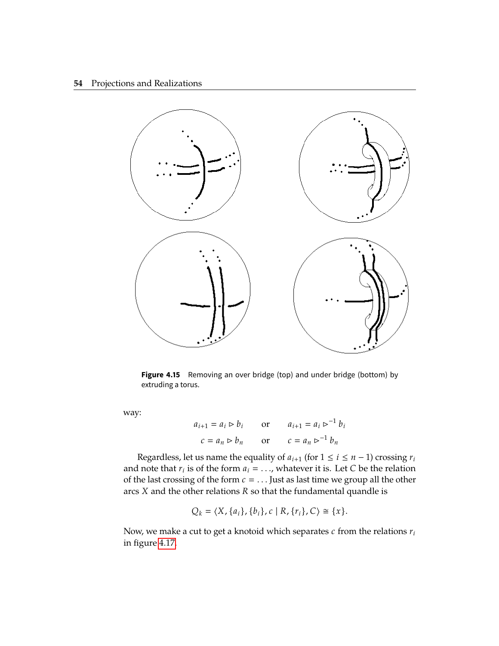#### **54** Projections and Realizations

<span id="page-64-0"></span>

**Figure 4.15** Removing an over bridge (top) and under bridge (bottom) by extruding a torus.

way:

$$
a_{i+1} = a_i \rhd b_i \qquad \text{or} \qquad a_{i+1} = a_i \rhd^{-1} b_i
$$
  

$$
c = a_n \rhd b_n \qquad \text{or} \qquad c = a_n \rhd^{-1} b_n
$$

Regardless, let us name the equality of  $a_{i+1}$  (for  $1 \leq i \leq n-1$ ) crossing  $r_i$ and note that  $r_i$  is of the form  $a_i = \ldots$ , whatever it is. Let C be the relation of the last crossing of the form  $c = \ldots$  lust as last time we group all the other of the last crossing of the form  $c = ...$  Just as last time we group all the other arcs  $X$  and the other relations  $R$  so that the fundamental quandle is

$$
Q_k = \langle X, \{a_i\}, \{b_i\}, c \mid R, \{r_i\}, C \rangle \cong \{x\}.
$$

Now, we make a cut to get a knotoid which separates  $c$  from the relations  $r_i$ in figure [4.17.](#page-65-1)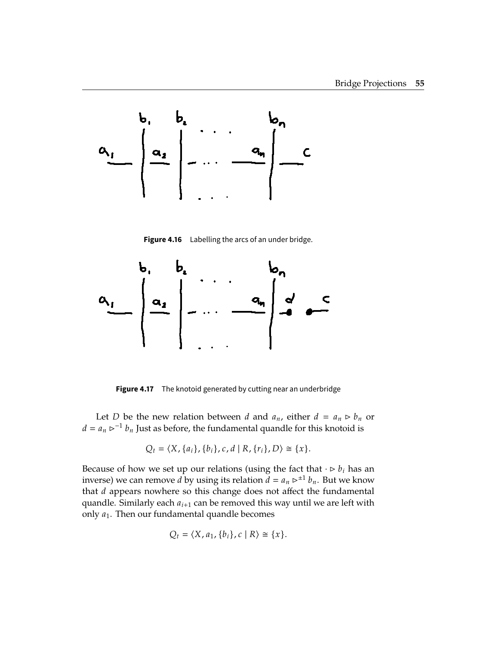<span id="page-65-0"></span>

**Figure 4.16** Labelling the arcs of an under bridge.

<span id="page-65-1"></span>

**Figure 4.17** The knotoid generated by cutting near an underbridge

Let *D* be the new relation between *d* and  $a_n$ , either  $d = a_n \triangleright b_n$  or  $a_n \geq b_n$  by the line between the fundamental quandle for this knotecd is  $d = a_n$   $\triangleright^{-1} b_n$  Just as before, the fundamental quandle for this knotoid is

$$
Q_t = \langle X, \{a_i\}, \{b_i\}, c, d \mid R, \{r_i\}, D \rangle \cong \{x\}.
$$

Because of how we set up our relations (using the fact that  $\cdot \triangleright b_i$  has an inverse) we can remove *d* by using its relation  $\ddot{d} = a_n \triangleright^{\pm 1} b_n$ . But we know that  $d$  appears nowhere so this change does not affect the fundamental quandle. Similarly each  $a_{i+1}$  can be removed this way until we are left with only  $a_1$ . Then our fundamental quandle becomes

$$
Q_t = \langle X, a_1, \{b_i\}, c \mid R \rangle \cong \{x\}.
$$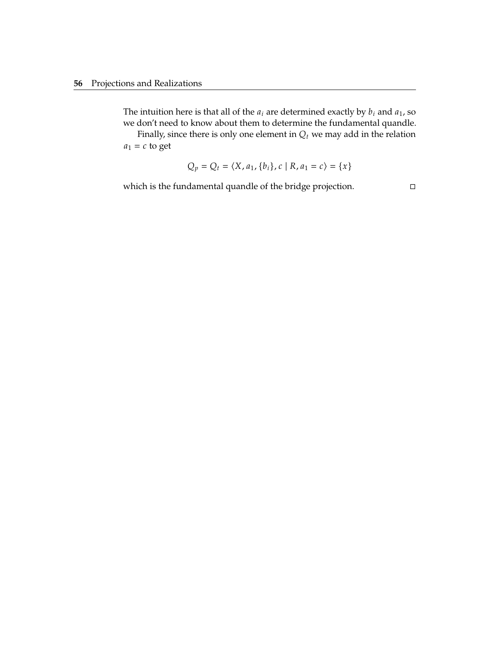The intuition here is that all of the  $a_i$  are determined exactly by  $b_i$  and  $a_1$ , so we don't need to know about them to determine the fundamental quandle.

Finally, since there is only one element in  $Q_t$  we may add in the relation  $a_1 = c$  to get

$$
Q_p = Q_t = \langle X, a_1, \{b_i\}, c \mid R, a_1 = c \rangle = \{x\}
$$

which is the fundamental quandle of the bridge projection.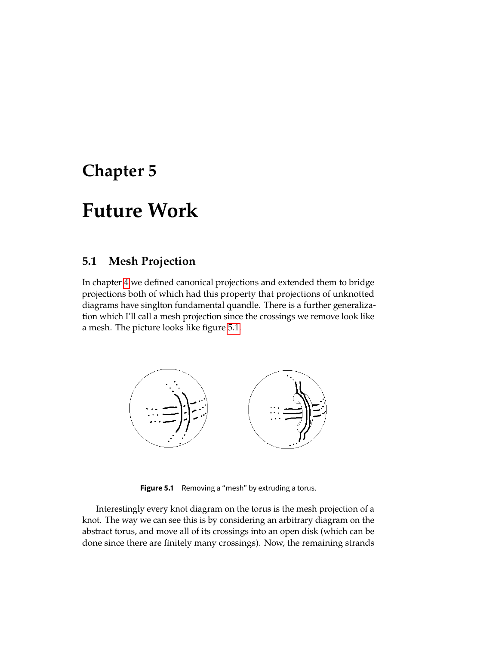# **Chapter 5**

# **Future Work**

## **5.1 Mesh Projection**

In chapter [4](#page-45-0) we defined canonical projections and extended them to bridge projections both of which had this property that projections of unknotted diagrams have singlton fundamental quandle. There is a further generalization which I'll call a mesh projection since the crossings we remove look like a mesh. The picture looks like figure [5.1.](#page-67-0)

<span id="page-67-0"></span>

**Figure 5.1** Removing a "mesh" by extruding a torus.

Interestingly every knot diagram on the torus is the mesh projection of a knot. The way we can see this is by considering an arbitrary diagram on the abstract torus, and move all of its crossings into an open disk (which can be done since there are finitely many crossings). Now, the remaining strands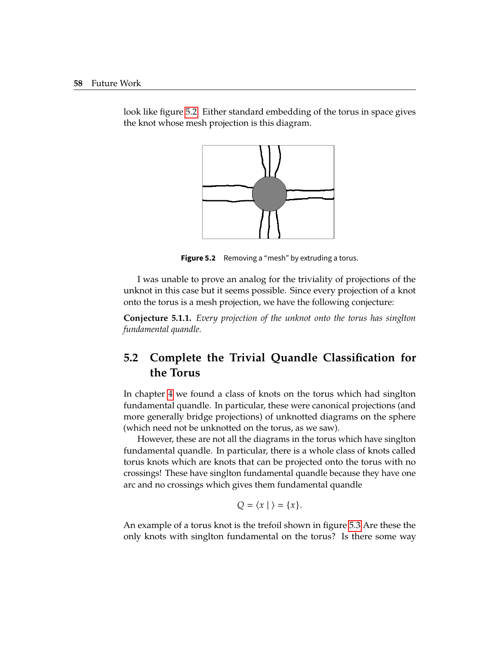

<span id="page-68-0"></span>look like figure [5.2.](#page-68-0) Either standard embedding of the torus in space gives the knot whose mesh projection is this diagram.

**Figure 5.2** Removing a "mesh" by extruding a torus.

I was unable to prove an analog for the triviality of projections of the unknot in this case but it seems possible. Since every projection of a knot onto the torus is a mesh projection, we have the following conjecture:

**Conjecture 5.1.1.** *Every projection of the unknot onto the torus has singlton fundamental quandle.*

# **5.2 Complete the Trivial Quandle Classification for the Torus**

In chapter [4](#page-45-0) we found a class of knots on the torus which had singlton fundamental quandle. In particular, these were canonical projections (and more generally bridge projections) of unknotted diagrams on the sphere (which need not be unknotted on the torus, as we saw).

However, these are not all the diagrams in the torus which have singlton fundamental quandle. In particular, there is a whole class of knots called torus knots which are knots that can be projected onto the torus with no crossings! These have singlton fundamental quandle because they have one arc and no crossings which gives them fundamental quandle

 $Q = \langle x | \rangle = \{x\}.$ 

An example of a torus knot is the trefoil shown in figure [5.3](#page-69-0) Are these the only knots with singlton fundamental on the torus? Is there some way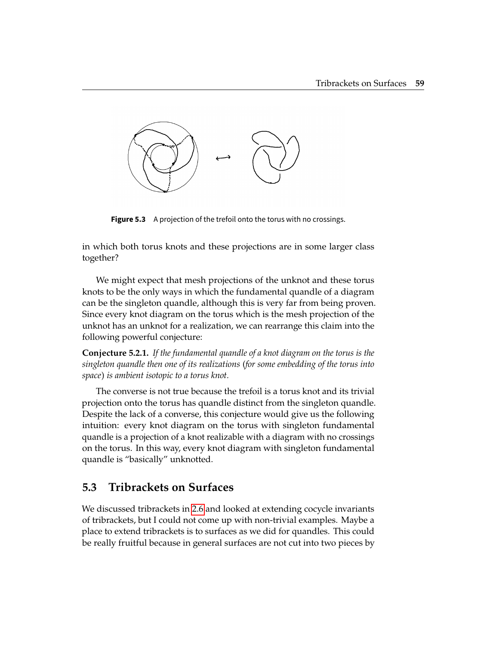<span id="page-69-0"></span>

**Figure 5.3** A projection of the trefoil onto the torus with no crossings.

in which both torus knots and these projections are in some larger class together?

We might expect that mesh projections of the unknot and these torus knots to be the only ways in which the fundamental quandle of a diagram can be the singleton quandle, although this is very far from being proven. Since every knot diagram on the torus which is the mesh projection of the unknot has an unknot for a realization, we can rearrange this claim into the following powerful conjecture:

**Conjecture 5.2.1.** *If the fundamental quandle of a knot diagram on the torus is the singleton quandle then one of its realizations (for some embedding of the torus into space) is ambient isotopic to a torus knot.*

The converse is not true because the trefoil is a torus knot and its trivial projection onto the torus has quandle distinct from the singleton quandle. Despite the lack of a converse, this conjecture would give us the following intuition: every knot diagram on the torus with singleton fundamental quandle is a projection of a knot realizable with a diagram with no crossings on the torus. In this way, every knot diagram with singleton fundamental quandle is "basically" unknotted.

### **5.3 Tribrackets on Surfaces**

We discussed tribrackets in [2.6](#page-33-0) and looked at extending cocycle invariants of tribrackets, but I could not come up with non-trivial examples. Maybe a place to extend tribrackets is to surfaces as we did for quandles. This could be really fruitful because in general surfaces are not cut into two pieces by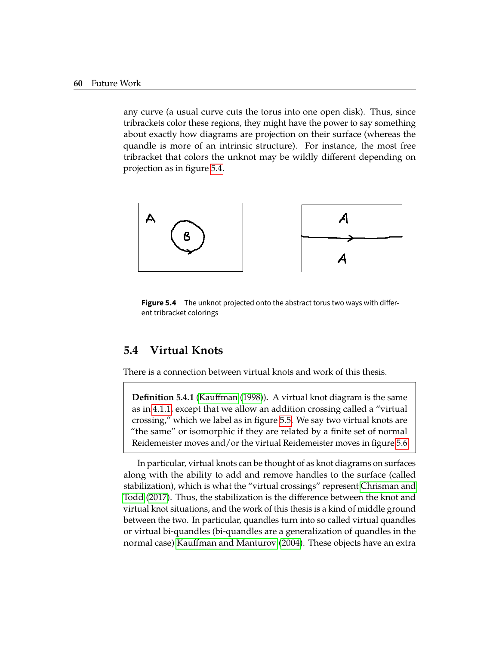any curve (a usual curve cuts the torus into one open disk). Thus, since tribrackets color these regions, they might have the power to say something about exactly how diagrams are projection on their surface (whereas the quandle is more of an intrinsic structure). For instance, the most free tribracket that colors the unknot may be wildly different depending on projection as in figure [5.4.](#page-70-0)

<span id="page-70-0"></span>



### **5.4 Virtual Knots**

There is a connection between virtual knots and work of this thesis.

**Definition 5.4.1** [\(Kauffman](#page-73-1) [\(1998\)](#page-73-1))**.** A virtual knot diagram is the same as in [4.1.1,](#page-45-1) except that we allow an addition crossing called a "virtual crossing," which we label as in figure [5.5.](#page-71-0) We say two virtual knots are "the same" or isomorphic if they are related by a finite set of normal Reidemeister moves and/or the virtual Reidemeister moves in figure [5.6](#page-71-1)

In particular, virtual knots can be thought of as knot diagrams on surfaces along with the ability to add and remove handles to the surface (called stabilization), which is what the "virtual crossings" represent [Chrisman and](#page-73-2) [Todd](#page-73-2) [\(2017\)](#page-73-2). Thus, the stabilization is the difference between the knot and virtual knot situations, and the work of this thesis is a kind of middle ground between the two. In particular, quandles turn into so called virtual quandles or virtual bi-quandles (bi-quandles are a generalization of quandles in the normal case) [Kauffman and Manturov](#page-73-3) [\(2004\)](#page-73-3). These objects have an extra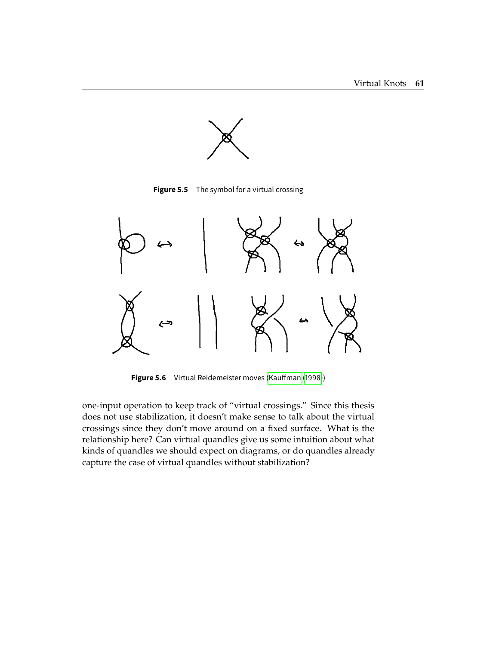

**Figure 5.5** The symbol for a virtual crossing

<span id="page-71-1"></span><span id="page-71-0"></span>

**Figure 5.6** Virtual Reidemeister moves (Kauffman [\(1998\)](#page-73-1))

one-input operation to keep track of "virtual crossings." Since this thesis does not use stabilization, it doesn't make sense to talk about the virtual crossings since they don't move around on a fixed surface. What is the relationship here? Can virtual quandles give us some intuition about what kinds of quandles we should expect on diagrams, or do quandles already capture the case of virtual quandles without stabilization?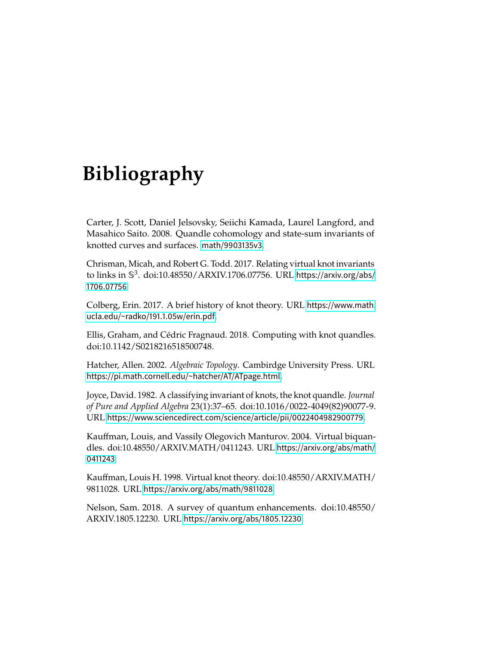## **Bibliography**

Carter, J. Scott, Daniel Jelsovsky, Seiichi Kamada, Laurel Langford, and Masahico Saito. 2008. Quandle cohomology and state-sum invariants of knotted curves and surfaces. <math/9903135v3>.

Chrisman, Micah, and Robert G. Todd. 2017. Relating virtual knot invariants to links in  $\mathbb{S}^3$ . doi:10.48550/ARXIV.1706.07756. URL [https://arxiv.org/abs/](https://arxiv.org/abs/1706.07756) [1706.07756](https://arxiv.org/abs/1706.07756).

Colberg, Erin. 2017. A brief history of knot theory. URL [https://www.math.](https://www.math.ucla.edu/~radko/191.1.05w/erin.pdf) [ucla.edu/~radko/191.1.05w/erin.pdf](https://www.math.ucla.edu/~radko/191.1.05w/erin.pdf).

Ellis, Graham, and Cédric Fragnaud. 2018. Computing with knot quandles. doi:10.1142/S0218216518500748.

Hatcher, Allen. 2002. *Algebraic Topology*. Cambirdge University Press. URL <https://pi.math.cornell.edu/~hatcher/AT/ATpage.html>.

Joyce, David. 1982. A classifying invariant of knots, the knot quandle. *Journal of Pure and Applied Algebra* 23(1):37–65. doi:10.1016/0022-4049(82)90077-9. URL <https://www.sciencedirect.com/science/article/pii/0022404982900779>.

Kauffman, Louis, and Vassily Olegovich Manturov. 2004. Virtual biquandles. doi:10.48550/ARXIV.MATH/0411243. URL [https://arxiv.org/abs/math/](https://arxiv.org/abs/math/0411243) [0411243](https://arxiv.org/abs/math/0411243).

Kauffman, Louis H. 1998. Virtual knot theory. doi:10.48550/ARXIV.MATH/ 9811028. URL <https://arxiv.org/abs/math/9811028>.

Nelson, Sam. 2018. A survey of quantum enhancements. doi:10.48550/ ARXIV.1805.12230. URL <https://arxiv.org/abs/1805.12230>.